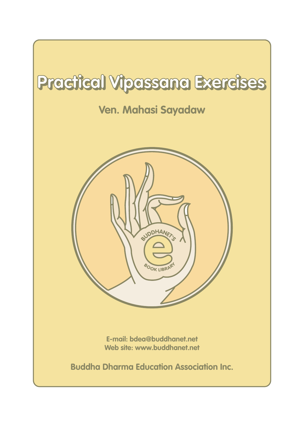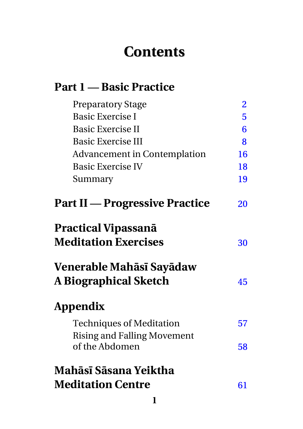# **Contents**

## **Part 1 — [Basic Practice](#page-2-0)**

| <b>Preparatory Stage</b>                                 | $\mathbf{2}$ |
|----------------------------------------------------------|--------------|
| <b>Basic Exercise I</b>                                  | 5            |
| <b>Basic Exercise II</b>                                 | 6            |
| <b>Basic Exercise III</b>                                | 8            |
| <b>Advancement in Contemplation</b>                      | 16           |
| <b>Basic Exercise IV</b>                                 | 18           |
| Summary                                                  | 19           |
| <b>Part II — Progressive Practice</b>                    | 20           |
| Practical Vipassanā<br><b>Meditation Exercises</b>       | 30           |
| Venerable Mahāsī Sayādaw<br><b>A Biographical Sketch</b> | 45           |
| Appendix                                                 |              |
| <b>Techniques of Meditation</b>                          | 57           |
| <b>Rising and Falling Movement</b><br>of the Abdomen     | 58           |
| Mahāsī Sāsana Yeiktha                                    |              |
| <b>Meditation Centre</b>                                 |              |
|                                                          | 61           |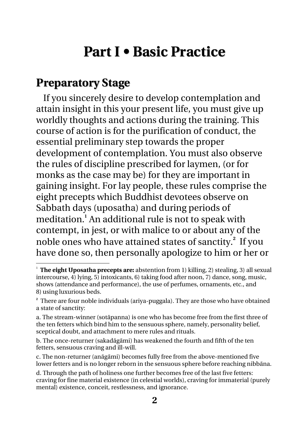# **Part I • Basic Practice**

#### <span id="page-2-0"></span>**Preparatory Stage**

-

If you sincerely desire to develop contemplation and attain insight in this your present life, you must give up worldly thoughts and actions during the training. This course of action is for the purification of conduct, the essential preliminary step towards the proper development of contemplation. You must also observe the rules of discipline prescribed for laymen, (or for monks as the case may be) for they are important in gaining insight. For lay people, these rules comprise the eight precepts which Buddhist devotees observe on Sabbath days (uposatha) and during periods of meditation.**<sup>1</sup>** An additional rule is not to speak with contempt, in jest, or with malice to or about any of the noble ones who have attained states of sanctity.**<sup>2</sup>** If you have done so, then personally apologize to him or her or

<sup>1</sup> **The eight Uposatha precepts are:** abstention from 1) killing, 2) stealing, 3) all sexual intercourse, 4) lying, 5) intoxicants, 6) taking food after noon, 7) dance, song, music, shows (attendance and performance), the use of perfumes, ornaments, etc., and 8) using luxurious beds.

**<sup>2</sup>** There are four noble individuals (ariya-puggala). They are those who have obtained a state of sanctity:

a. The stream-winner (sotāpanna) is one who has become free from the first three of the ten fetters which bind him to the sensuous sphere, namely, personality belief, sceptical doubt, and attachment to mere rules and rituals.

b. The once-returner (sakadāgāmi) has weakened the fourth and fifth of the ten fetters, sensuous craving and ill-will.

c. The non-returner (anāgāmi) becomes fully free from the above-mentioned five lower fetters and is no longer reborn in the sensuous sphere before reaching nibbāna.

d. Through the path of holiness one further becomes free of the last five fetters: craving for fine material existence (in celestial worlds), craving for immaterial (purely mental) existence, conceit, restlessness, and ignorance.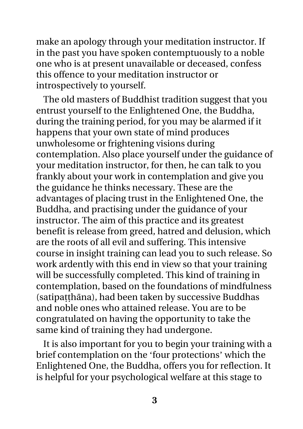make an apology through your meditation instructor. If in the past you have spoken contemptuously to a noble one who is at present unavailable or deceased, confess this offence to your meditation instructor or introspectively to yourself.

The old masters of Buddhist tradition suggest that you entrust yourself to the Enlightened One, the Buddha, during the training period, for you may be alarmed if it happens that your own state of mind produces unwholesome or frightening visions during contemplation. Also place yourself under the guidance of your meditation instructor, for then, he can talk to you frankly about your work in contemplation and give you the guidance he thinks necessary. These are the advantages of placing trust in the Enlightened One, the Buddha, and practising under the guidance of your instructor. The aim of this practice and its greatest benefit is release from greed, hatred and delusion, which are the roots of all evil and suffering. This intensive course in insight training can lead you to such release. So work ardently with this end in view so that your training will be successfully completed. This kind of training in contemplation, based on the foundations of mindfulness (satipaṭṭhāna), had been taken by successive Buddhas and noble ones who attained release. You are to be congratulated on having the opportunity to take the same kind of training they had undergone.

It is also important for you to begin your training with a brief contemplation on the 'four protections' which the Enlightened One, the Buddha, offers you for reflection. It is helpful for your psychological welfare at this stage to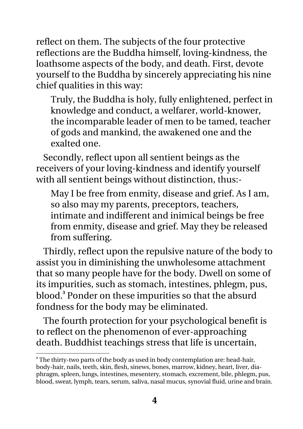reflect on them. The subjects of the four protective reflections are the Buddha himself, loving-kindness, the loathsome aspects of the body, and death. First, devote yourself to the Buddha by sincerely appreciating his nine chief qualities in this way:

Truly, the Buddha is holy, fully enlightened, perfect in knowledge and conduct, a welfarer, world-knower, the incomparable leader of men to be tamed, teacher of gods and mankind, the awakened one and the exalted one.

Secondly, reflect upon all sentient beings as the receivers of your loving-kindness and identify yourself with all sentient beings without distinction, thus:-

May I be free from enmity, disease and grief. As I am, so also may my parents, preceptors, teachers, intimate and indifferent and inimical beings be free from enmity, disease and grief. May they be released from suffering.

Thirdly, reflect upon the repulsive nature of the body to assist you in diminishing the unwholesome attachment that so many people have for the body. Dwell on some of its impurities, such as stomach, intestines, phlegm, pus, blood.**<sup>3</sup>** Ponder on these impurities so that the absurd fondness for the body may be eliminated.

The fourth protection for your psychological benefit is to reflect on the phenomenon of ever-approaching death. Buddhist teachings stress that life is uncertain,

-

**<sup>3</sup>** The thirty-two parts of the body as used in body contemplation are: head-hair, body-hair, nails, teeth, skin, flesh, sinews, bones, marrow, kidney, heart, liver, diaphragm, spleen, lungs, intestines, mesentery, stomach, excrement, bile, phlegm, pus, blood, sweat, lymph, tears, serum, saliva, nasal mucus, synovial fluid, urine and brain.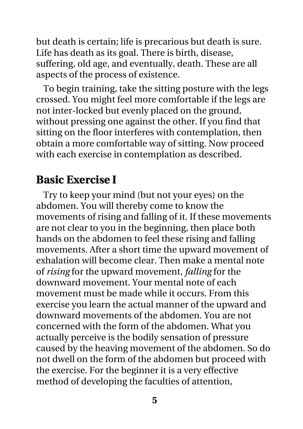<span id="page-5-0"></span>but death is certain; life is precarious but death is sure. Life has death as its goal. There is birth, disease, suffering, old age, and eventually, death. These are all aspects of the process of existence.

To begin training, take the sitting posture with the legs crossed. You might feel more comfortable if the legs are not inter-locked but evenly placed on the ground, without pressing one against the other. If you find that sitting on the floor interferes with contemplation, then obtain a more comfortable way of sitting. Now proceed with each exercise in contemplation as described.

### **Basic Exercise I**

Try to keep your mind (but not your eyes) on the abdomen. You will thereby come to know the movements of rising and falling of it. If these movements are not clear to you in the beginning, then place both hands on the abdomen to feel these rising and falling movements. After a short time the upward movement of exhalation will become clear. Then make a mental note of *rising* for the upward movement, *falling* for the downward movement. Your mental note of each movement must be made while it occurs. From this exercise you learn the actual manner of the upward and downward movements of the abdomen. You are not concerned with the form of the abdomen. What you actually perceive is the bodily sensation of pressure caused by the heaving movement of the abdomen. So do not dwell on the form of the abdomen but proceed with the exercise. For the beginner it is a very effective method of developing the faculties of attention,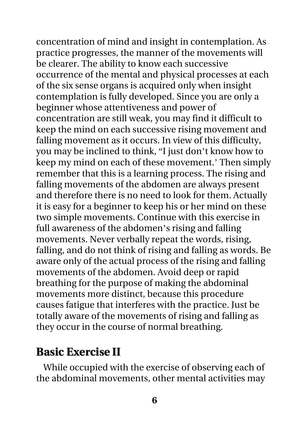<span id="page-6-0"></span>concentration of mind and insight in contemplation. As practice progresses, the manner of the movements will be clearer. The ability to know each successive occurrence of the mental and physical processes at each of the six sense organs is acquired only when insight contemplation is fully developed. Since you are only a beginner whose attentiveness and power of concentration are still weak, you may find it difficult to keep the mind on each successive rising movement and falling movement as it occurs. In view of this difficulty, you may be inclined to think, "I just don't know how to keep my mind on each of these movement.' Then simply remember that this is a learning process. The rising and falling movements of the abdomen are always present and therefore there is no need to look for them. Actually it is easy for a beginner to keep his or her mind on these two simple movements. Continue with this exercise in full awareness of the abdomen's rising and falling movements. Never verbally repeat the words, rising, falling, and do not think of rising and falling as words. Be aware only of the actual process of the rising and falling movements of the abdomen. Avoid deep or rapid breathing for the purpose of making the abdominal movements more distinct, because this procedure causes fatigue that interferes with the practice. Just be totally aware of the movements of rising and falling as they occur in the course of normal breathing.

#### **Basic Exercise II**

While occupied with the exercise of observing each of the abdominal movements, other mental activities may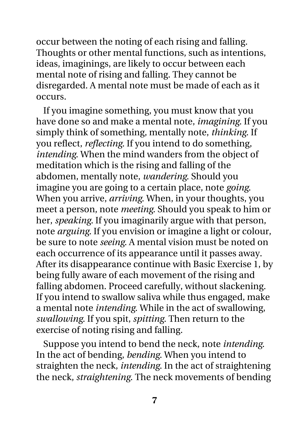occur between the noting of each rising and falling. Thoughts or other mental functions, such as intentions, ideas, imaginings, are likely to occur between each mental note of rising and falling. They cannot be disregarded. A mental note must be made of each as it occurs.

If you imagine something, you must know that you have done so and make a mental note, *imagining*. If you simply think of something, mentally note, *thinking*. If you reflect, *reflecting*. If you intend to do something, *intending*. When the mind wanders from the object of meditation which is the rising and falling of the abdomen, mentally note, *wandering*. Should you imagine you are going to a certain place, note *going*. When you arrive, *arriving*. When, in your thoughts, you meet a person, note *meeting*. Should you speak to him or her, *speaking*. If you imaginarily argue with that person, note *arguing*. If you envision or imagine a light or colour, be sure to note *seeing*. A mental vision must be noted on each occurrence of its appearance until it passes away. After its disappearance continue with Basic Exercise 1, by being fully aware of each movement of the rising and falling abdomen. Proceed carefully, without slackening. If you intend to swallow saliva while thus engaged, make a mental note *intending*. While in the act of swallowing, *swallowing*. If you spit, *spitting*. Then return to the exercise of noting rising and falling.

Suppose you intend to bend the neck, note *intending*. In the act of bending, *bending*. When you intend to straighten the neck, *intending*. In the act of straightening the neck, *straightening*. The neck movements of bending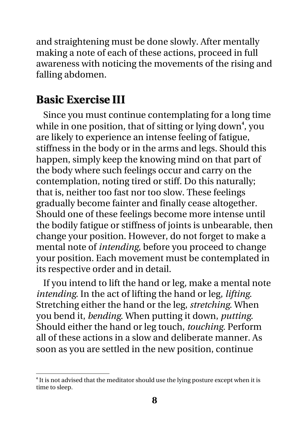<span id="page-8-0"></span>and straightening must be done slowly. After mentally making a note of each of these actions, proceed in full awareness with noticing the movements of the rising and falling abdomen.

### **Basic Exercise III**

l

Since you must continue contemplating for a long time while in one position, that of sitting or lying down**<sup>4</sup>** , you are likely to experience an intense feeling of fatigue, stiffness in the body or in the arms and legs. Should this happen, simply keep the knowing mind on that part of the body where such feelings occur and carry on the contemplation, noting tired or stiff. Do this naturally; that is, neither too fast nor too slow. These feelings gradually become fainter and finally cease altogether. Should one of these feelings become more intense until the bodily fatigue or stiffness of joints is unbearable, then change your position. However, do not forget to make a mental note of *intending*, before you proceed to change your position. Each movement must be contemplated in its respective order and in detail.

If you intend to lift the hand or leg, make a mental note *intending*. In the act of lifting the hand or leg, *lifting*. Stretching either the hand or the leg, *stretching*. When you bend it, *bending*. When putting it down, *putting*. Should either the hand or leg touch, *touching*. Perform all of these actions in a slow and deliberate manner. As soon as you are settled in the new position, continue

**<sup>4</sup>** It is not advised that the meditator should use the lying posture except when it is time to sleep.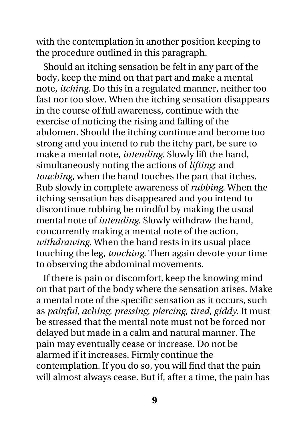with the contemplation in another position keeping to the procedure outlined in this paragraph.

Should an itching sensation be felt in any part of the body, keep the mind on that part and make a mental note, *itching*. Do this in a regulated manner, neither too fast nor too slow. When the itching sensation disappears in the course of full awareness, continue with the exercise of noticing the rising and falling of the abdomen. Should the itching continue and become too strong and you intend to rub the itchy part, be sure to make a mental note, *intending*. Slowly lift the hand, simultaneously noting the actions of *lifting*; and *touching*, when the hand touches the part that itches. Rub slowly in complete awareness of *rubbing*. When the itching sensation has disappeared and you intend to discontinue rubbing be mindful by making the usual mental note of *intending*. Slowly withdraw the hand, concurrently making a mental note of the action, *withdrawing*. When the hand rests in its usual place touching the leg, *touching*. Then again devote your time to observing the abdominal movements.

If there is pain or discomfort, keep the knowing mind on that part of the body where the sensation arises. Make a mental note of the specific sensation as it occurs, such as *painful*, *aching*, *pressing*, *piercing*, *tired*, *giddy*. It must be stressed that the mental note must not be forced nor delayed but made in a calm and natural manner. The pain may eventually cease or increase. Do not be alarmed if it increases. Firmly continue the contemplation. If you do so, you will find that the pain will almost always cease. But if, after a time, the pain has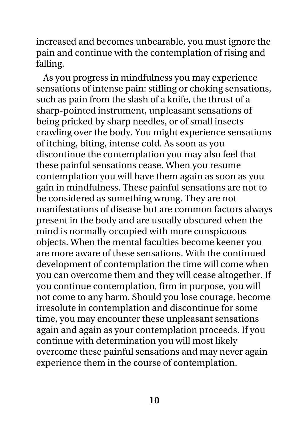increased and becomes unbearable, you must ignore the pain and continue with the contemplation of rising and falling.

As you progress in mindfulness you may experience sensations of intense pain: stifling or choking sensations, such as pain from the slash of a knife, the thrust of a sharp-pointed instrument, unpleasant sensations of being pricked by sharp needles, or of small insects crawling over the body. You might experience sensations of itching, biting, intense cold. As soon as you discontinue the contemplation you may also feel that these painful sensations cease. When you resume contemplation you will have them again as soon as you gain in mindfulness. These painful sensations are not to be considered as something wrong. They are not manifestations of disease but are common factors always present in the body and are usually obscured when the mind is normally occupied with more conspicuous objects. When the mental faculties become keener you are more aware of these sensations. With the continued development of contemplation the time will come when you can overcome them and they will cease altogether. If you continue contemplation, firm in purpose, you will not come to any harm. Should you lose courage, become irresolute in contemplation and discontinue for some time, you may encounter these unpleasant sensations again and again as your contemplation proceeds. If you continue with determination you will most likely overcome these painful sensations and may never again experience them in the course of contemplation.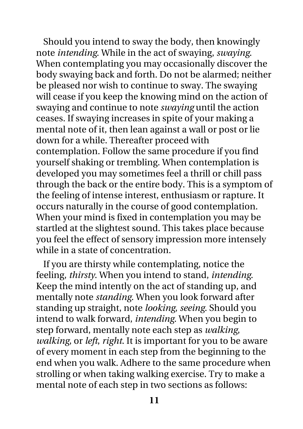Should you intend to sway the body, then knowingly note *intending*. While in the act of swaying, *swaying*. When contemplating you may occasionally discover the body swaying back and forth. Do not be alarmed; neither be pleased nor wish to continue to sway. The swaying will cease if you keep the knowing mind on the action of swaying and continue to note *swaying* until the action ceases. If swaying increases in spite of your making a mental note of it, then lean against a wall or post or lie down for a while. Thereafter proceed with contemplation. Follow the same procedure if you find yourself shaking or trembling. When contemplation is developed you may sometimes feel a thrill or chill pass through the back or the entire body. This is a symptom of the feeling of intense interest, enthusiasm or rapture. It occurs naturally in the course of good contemplation. When your mind is fixed in contemplation you may be startled at the slightest sound. This takes place because you feel the effect of sensory impression more intensely while in a state of concentration.

If you are thirsty while contemplating, notice the feeling, *thirsty*. When you intend to stand, *intending*. Keep the mind intently on the act of standing up, and mentally note *standing*. When you look forward after standing up straight, note *looking*, *seeing*. Should you intend to walk forward, *intending*. When you begin to step forward, mentally note each step as *walking*, *walking*, or *left*, *right*. It is important for you to be aware of every moment in each step from the beginning to the end when you walk. Adhere to the same procedure when strolling or when taking walking exercise. Try to make a mental note of each step in two sections as follows: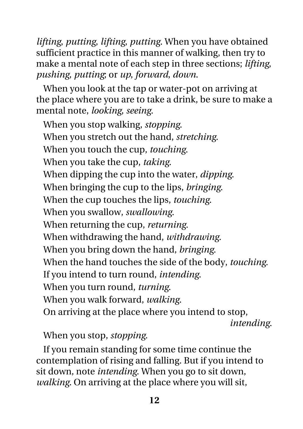*lifting*, *putting*, *lifting*, *putting*. When you have obtained sufficient practice in this manner of walking, then try to make a mental note of each step in three sections; *lifting*, *pushing*, *putting*; or *up*, *forward*, *down*.

When you look at the tap or water-pot on arriving at the place where you are to take a drink, be sure to make a mental note, *looking*, *seeing*.

When you stop walking, *stopping*. When you stretch out the hand, *stretching*. When you touch the cup, *touching*. When you take the cup, *taking*. When dipping the cup into the water, *dipping*. When bringing the cup to the lips, *bringing*. When the cup touches the lips, *touching*. When you swallow, *swallowing*. When returning the cup, *returning*. When withdrawing the hand, *withdrawing*. When you bring down the hand, *bringing*. When the hand touches the side of the body, *touching*. If you intend to turn round, *intending*. When you turn round, *turning*. When you walk forward, *walking*. On arriving at the place where you intend to stop, *intending*.

When you stop, *stopping*.

If you remain standing for some time continue the contemplation of rising and falling. But if you intend to sit down, note *intending*. When you go to sit down, *walking*. On arriving at the place where you will sit,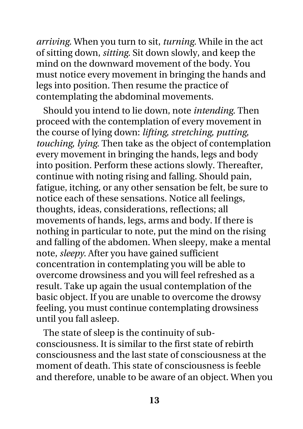*arriving*. When you turn to sit, *turning*. While in the act of sitting down, *sitting*. Sit down slowly, and keep the mind on the downward movement of the body. You must notice every movement in bringing the hands and legs into position. Then resume the practice of contemplating the abdominal movements.

Should you intend to lie down, note *intending*. Then proceed with the contemplation of every movement in the course of lying down: *lifting*, *stretching*, *putting*, *touching*, *lying*. Then take as the object of contemplation every movement in bringing the hands, legs and body into position. Perform these actions slowly. Thereafter, continue with noting rising and falling. Should pain, fatigue, itching, or any other sensation be felt, be sure to notice each of these sensations. Notice all feelings, thoughts, ideas, considerations, reflections; all movements of hands, legs, arms and body. If there is nothing in particular to note, put the mind on the rising and falling of the abdomen. When sleepy, make a mental note, *sleepy*. After you have gained sufficient concentration in contemplating you will be able to overcome drowsiness and you will feel refreshed as a result. Take up again the usual contemplation of the basic object. If you are unable to overcome the drowsy feeling, you must continue contemplating drowsiness until you fall asleep.

The state of sleep is the continuity of subconsciousness. It is similar to the first state of rebirth consciousness and the last state of consciousness at the moment of death. This state of consciousness is feeble and therefore, unable to be aware of an object. When you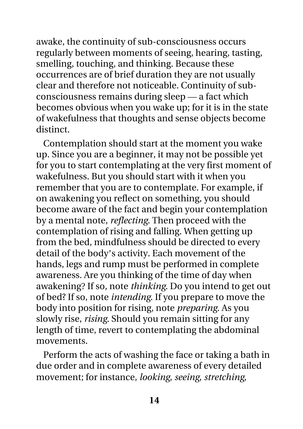awake, the continuity of sub-consciousness occurs regularly between moments of seeing, hearing, tasting, smelling, touching, and thinking. Because these occurrences are of brief duration they are not usually clear and therefore not noticeable. Continuity of subconsciousness remains during sleep — a fact which becomes obvious when you wake up; for it is in the state of wakefulness that thoughts and sense objects become distinct.

Contemplation should start at the moment you wake up. Since you are a beginner, it may not be possible yet for you to start contemplating at the very first moment of wakefulness. But you should start with it when you remember that you are to contemplate. For example, if on awakening you reflect on something, you should become aware of the fact and begin your contemplation by a mental note, *reflecting*. Then proceed with the contemplation of rising and falling. When getting up from the bed, mindfulness should be directed to every detail of the body's activity. Each movement of the hands, legs and rump must be performed in complete awareness. Are you thinking of the time of day when awakening? If so, note *thinking*. Do you intend to get out of bed? If so, note *intending*. If you prepare to move the body into position for rising, note *preparing*. As you slowly rise, *rising*. Should you remain sitting for any length of time, revert to contemplating the abdominal movements.

Perform the acts of washing the face or taking a bath in due order and in complete awareness of every detailed movement; for instance, *looking*, *seeing*, *stretching*,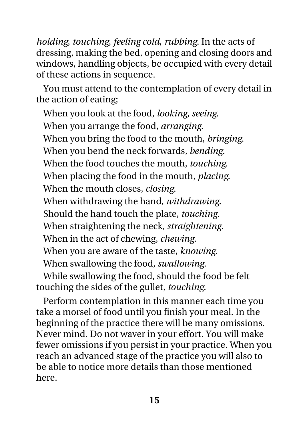*holding*, *touching*, *feeling cold*, *rubbing*. In the acts of dressing, making the bed, opening and closing doors and windows, handling objects, be occupied with every detail of these actions in sequence.

You must attend to the contemplation of every detail in the action of eating;

When you look at the food, *looking*, *seeing*. When you arrange the food, *arranging*. When you bring the food to the mouth, *bringing*. When you bend the neck forwards, *bending*. When the food touches the mouth, *touching*. When placing the food in the mouth, *placing*. When the mouth closes, *closing*. When withdrawing the hand, *withdrawing*. Should the hand touch the plate, *touching*. When straightening the neck, *straightening*. When in the act of chewing, *chewing*. When you are aware of the taste, *knowing*. When swallowing the food, *swallowing*. While swallowing the food, should the food be felt touching the sides of the gullet, *touching*.

Perform contemplation in this manner each time you take a morsel of food until you finish your meal. In the beginning of the practice there will be many omissions. Never mind. Do not waver in your effort. You will make fewer omissions if you persist in your practice. When you reach an advanced stage of the practice you will also to be able to notice more details than those mentioned here.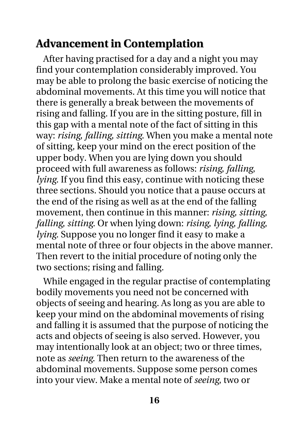### <span id="page-16-0"></span>**Advancement in Contemplation**

After having practised for a day and a night you may find your contemplation considerably improved. You may be able to prolong the basic exercise of noticing the abdominal movements. At this time you will notice that there is generally a break between the movements of rising and falling. If you are in the sitting posture, fill in this gap with a mental note of the fact of sitting in this way: *rising*, *falling*, *sitting*. When you make a mental note of sitting, keep your mind on the erect position of the upper body. When you are lying down you should proceed with full awareness as follows: *rising*, *falling*, *lying*. If you find this easy, continue with noticing these three sections. Should you notice that a pause occurs at the end of the rising as well as at the end of the falling movement, then continue in this manner: *rising*, *sitting*, *falling*, *sitting*. Or when lying down: *rising*, *lying*, *falling*, *lying*. Suppose you no longer find it easy to make a mental note of three or four objects in the above manner. Then revert to the initial procedure of noting only the two sections; rising and falling.

While engaged in the regular practise of contemplating bodily movements you need not be concerned with objects of seeing and hearing. As long as you are able to keep your mind on the abdominal movements of rising and falling it is assumed that the purpose of noticing the acts and objects of seeing is also served. However, you may intentionally look at an object; two or three times, note as *seeing*. Then return to the awareness of the abdominal movements. Suppose some person comes into your view. Make a mental note of *seeing*, two or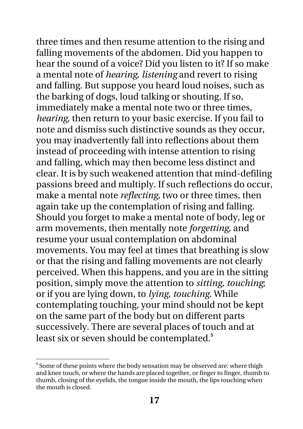three times and then resume attention to the rising and falling movements of the abdomen. Did you happen to hear the sound of a voice? Did you listen to it? If so make a mental note of *hearing*, *listening* and revert to rising and falling. But suppose you heard loud noises, such as the barking of dogs, loud talking or shouting. If so, immediately make a mental note two or three times, *hearing*, then return to your basic exercise. If you fail to note and dismiss such distinctive sounds as they occur, you may inadvertently fall into reflections about them instead of proceeding with intense attention to rising and falling, which may then become less distinct and clear. It is by such weakened attention that mind-defiling passions breed and multiply. If such reflections do occur, make a mental note *reflecting*, two or three times, then again take up the contemplation of rising and falling. Should you forget to make a mental note of body, leg or arm movements, then mentally note *forgetting*, and resume your usual contemplation on abdominal movements. You may feel at times that breathing is slow or that the rising and falling movements are not clearly perceived. When this happens, and you are in the sitting position, simply move the attention to *sitting*, *touching*; or if you are lying down, to *lying*, *touching*. While contemplating touching, your mind should not be kept on the same part of the body but on different parts successively. There are several places of touch and at least six or seven should be contemplated.**<sup>5</sup>**

l

**<sup>5</sup>** Some of these points where the body sensation may be observed are: where thigh and knee touch, or where the hands are placed together, or finger to finger, thumb to thumb, closing of the eyelids, the tongue inside the mouth, the lips touching when the mouth is closed.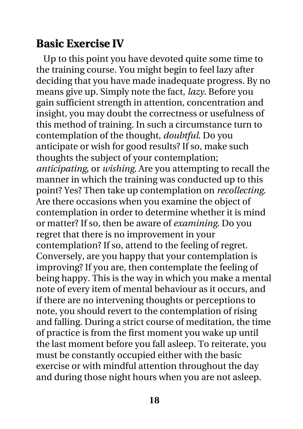#### <span id="page-18-0"></span>**Basic Exercise IV**

Up to this point you have devoted quite some time to the training course. You might begin to feel lazy after deciding that you have made inadequate progress. By no means give up. Simply note the fact, *lazy*. Before you gain sufficient strength in attention, concentration and insight, you may doubt the correctness or usefulness of this method of training. In such a circumstance turn to contemplation of the thought, *doubtful*. Do you anticipate or wish for good results? If so, make such thoughts the subject of your contemplation; *anticipating*, or *wishing*. Are you attempting to recall the manner in which the training was conducted up to this point? Yes? Then take up contemplation on *recollecting*. Are there occasions when you examine the object of contemplation in order to determine whether it is mind or matter? If so, then be aware of *examining*. Do you regret that there is no improvement in your contemplation? If so, attend to the feeling of regret. Conversely, are you happy that your contemplation is improving? If you are, then contemplate the feeling of being happy. This is the way in which you make a mental note of every item of mental behaviour as it occurs, and if there are no intervening thoughts or perceptions to note, you should revert to the contemplation of rising and falling. During a strict course of meditation, the time of practice is from the first moment you wake up until the last moment before you fall asleep. To reiterate, you must be constantly occupied either with the basic exercise or with mindful attention throughout the day and during those night hours when you are not asleep.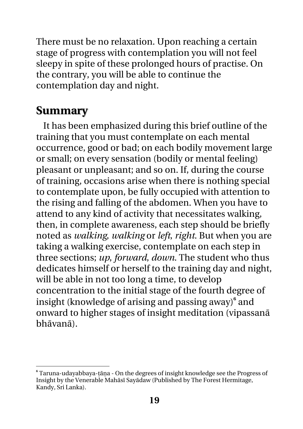<span id="page-19-0"></span>There must be no relaxation. Upon reaching a certain stage of progress with contemplation you will not feel sleepy in spite of these prolonged hours of practise. On the contrary, you will be able to continue the contemplation day and night.

### **Summary**

-

It has been emphasized during this brief outline of the training that you must contemplate on each mental occurrence, good or bad; on each bodily movement large or small; on every sensation (bodily or mental feeling) pleasant or unpleasant; and so on. If, during the course of training, occasions arise when there is nothing special to contemplate upon, be fully occupied with attention to the rising and falling of the abdomen. When you have to attend to any kind of activity that necessitates walking, then, in complete awareness, each step should be briefly noted as *walking*, *walking* or *left*, *right*. But when you are taking a walking exercise, contemplate on each step in three sections; *up*, *forward*, *down*. The student who thus dedicates himself or herself to the training day and night, will be able in not too long a time, to develop concentration to the initial stage of the fourth degree of insight (knowledge of arising and passing away)**<sup>6</sup>** and onward to higher stages of insight meditation (vipassanā bhāvanā).

 $^{\circ}$  Taruna-udayabbaya-ṭāṇa - On the degrees of insight knowledge see the Progress of Insight by the Venerable Mahāsī Sayādaw (Published by The Forest Hermitage, Kandy, Sri Lanka).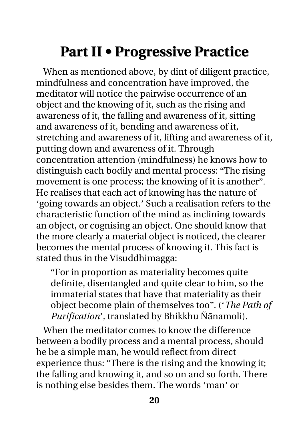# <span id="page-20-0"></span>**Part II • Progressive Practice**

When as mentioned above, by dint of diligent practice, mindfulness and concentration have improved, the meditator will notice the pairwise occurrence of an object and the knowing of it, such as the rising and awareness of it, the falling and awareness of it, sitting and awareness of it, bending and awareness of it, stretching and awareness of it, lifting and awareness of it, putting down and awareness of it. Through concentration attention (mindfulness) he knows how to distinguish each bodily and mental process: "The rising movement is one process; the knowing of it is another". He realises that each act of knowing has the nature of 'going towards an object.' Such a realisation refers to the characteristic function of the mind as inclining towards an object, or cognising an object. One should know that the more clearly a material object is noticed, the clearer becomes the mental process of knowing it. This fact is stated thus in the Visuddhimagga:

"For in proportion as materiality becomes quite definite, disentangled and quite clear to him, so the immaterial states that have that materiality as their object become plain of themselves too". ('*The Path of Purification*', translated by Bhikkhu Ñānamoli).

When the meditator comes to know the difference between a bodily process and a mental process, should he be a simple man, he would reflect from direct experience thus: "There is the rising and the knowing it; the falling and knowing it, and so on and so forth. There is nothing else besides them. The words 'man' or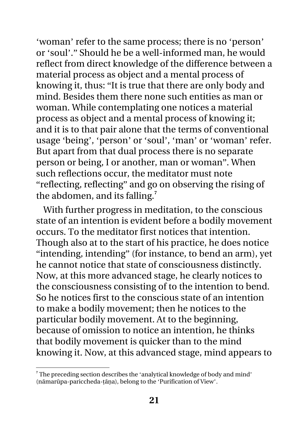'woman' refer to the same process; there is no 'person' or 'soul'." Should he be a well-informed man, he would reflect from direct knowledge of the difference between a material process as object and a mental process of knowing it, thus: "It is true that there are only body and mind. Besides them there none such entities as man or woman. While contemplating one notices a material process as object and a mental process of knowing it; and it is to that pair alone that the terms of conventional usage 'being', 'person' or 'soul', 'man' or 'woman' refer. But apart from that dual process there is no separate person or being, I or another, man or woman". When such reflections occur, the meditator must note "reflecting, reflecting" and go on observing the rising of the abdomen, and its falling.**<sup>7</sup>**

With further progress in meditation, to the conscious state of an intention is evident before a bodily movement occurs. To the meditator first notices that intention. Though also at to the start of his practice, he does notice "intending, intending" (for instance, to bend an arm), yet he cannot notice that state of consciousness distinctly. Now, at this more advanced stage, he clearly notices to the consciousness consisting of to the intention to bend. So he notices first to the conscious state of an intention to make a bodily movement; then he notices to the particular bodily movement. At to the beginning, because of omission to notice an intention, he thinks that bodily movement is quicker than to the mind knowing it. Now, at this advanced stage, mind appears to

-

**<sup>7</sup>** The preceding section describes the 'analytical knowledge of body and mind' (nāmarūpa-pariccheda-ñāõa), belong to the 'Purification of View'.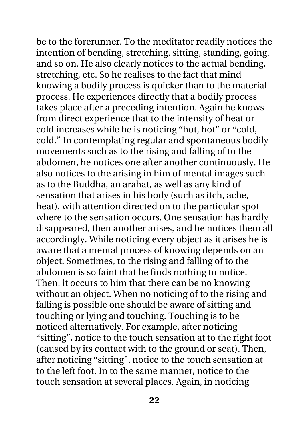be to the forerunner. To the meditator readily notices the intention of bending, stretching, sitting, standing, going, and so on. He also clearly notices to the actual bending, stretching, etc. So he realises to the fact that mind knowing a bodily process is quicker than to the material process. He experiences directly that a bodily process takes place after a preceding intention. Again he knows from direct experience that to the intensity of heat or cold increases while he is noticing "hot, hot" or "cold, cold." In contemplating regular and spontaneous bodily movements such as to the rising and falling of to the abdomen, he notices one after another continuously. He also notices to the arising in him of mental images such as to the Buddha, an arahat, as well as any kind of sensation that arises in his body (such as itch, ache, heat), with attention directed on to the particular spot where to the sensation occurs. One sensation has hardly disappeared, then another arises, and he notices them all accordingly. While noticing every object as it arises he is aware that a mental process of knowing depends on an object. Sometimes, to the rising and falling of to the abdomen is so faint that he finds nothing to notice. Then, it occurs to him that there can be no knowing without an object. When no noticing of to the rising and falling is possible one should be aware of sitting and touching or lying and touching. Touching is to be noticed alternatively. For example, after noticing "sitting", notice to the touch sensation at to the right foot (caused by its contact with to the ground or seat). Then, after noticing "sitting", notice to the touch sensation at to the left foot. In to the same manner, notice to the touch sensation at several places. Again, in noticing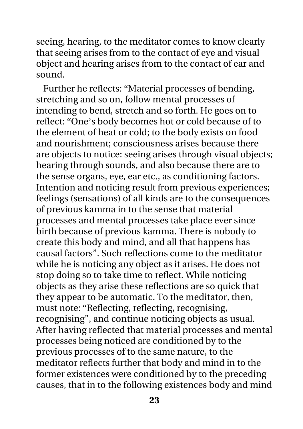seeing, hearing, to the meditator comes to know clearly that seeing arises from to the contact of eye and visual object and hearing arises from to the contact of ear and sound.

Further he reflects: "Material processes of bending, stretching and so on, follow mental processes of intending to bend, stretch and so forth. He goes on to reflect: "One's body becomes hot or cold because of to the element of heat or cold; to the body exists on food and nourishment; consciousness arises because there are objects to notice: seeing arises through visual objects; hearing through sounds, and also because there are to the sense organs, eye, ear etc., as conditioning factors. Intention and noticing result from previous experiences; feelings (sensations) of all kinds are to the consequences of previous kamma in to the sense that material processes and mental processes take place ever since birth because of previous kamma. There is nobody to create this body and mind, and all that happens has causal factors". Such reflections come to the meditator while he is noticing any object as it arises. He does not stop doing so to take time to reflect. While noticing objects as they arise these reflections are so quick that they appear to be automatic. To the meditator, then, must note: "Reflecting, reflecting, recognising, recognising", and continue noticing objects as usual. After having reflected that material processes and mental processes being noticed are conditioned by to the previous processes of to the same nature, to the meditator reflects further that body and mind in to the former existences were conditioned by to the preceding causes, that in to the following existences body and mind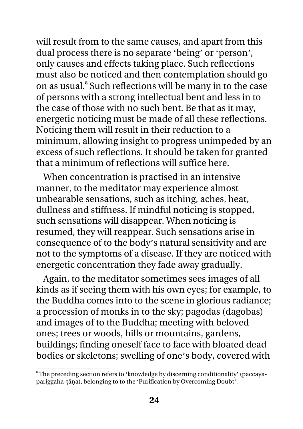will result from to the same causes, and apart from this dual process there is no separate 'being' or 'person', only causes and effects taking place. Such reflections must also be noticed and then contemplation should go on as usual.<sup>8</sup> Such reflections will be many in to the case of persons with a strong intellectual bent and less in to the case of those with no such bent. Be that as it may, energetic noticing must be made of all these reflections. Noticing them will result in their reduction to a minimum, allowing insight to progress unimpeded by an excess of such reflections. It should be taken for granted that a minimum of reflections will suffice here.

When concentration is practised in an intensive manner, to the meditator may experience almost unbearable sensations, such as itching, aches, heat, dullness and stiffness. If mindful noticing is stopped, such sensations will disappear. When noticing is resumed, they will reappear. Such sensations arise in consequence of to the body's natural sensitivity and are not to the symptoms of a disease. If they are noticed with energetic concentration they fade away gradually.

Again, to the meditator sometimes sees images of all kinds as if seeing them with his own eyes; for example, to the Buddha comes into to the scene in glorious radiance; a procession of monks in to the sky; pagodas (dagobas) and images of to the Buddha; meeting with beloved ones; trees or woods, hills or mountains, gardens, buildings; finding oneself face to face with bloated dead bodies or skeletons; swelling of one's body, covered with

l <sup>8</sup> The preceding section refers to 'knowledge by discerning conditionality' (paccayapariggaha-tāna), belonging to to the 'Purification by Overcoming Doubt'.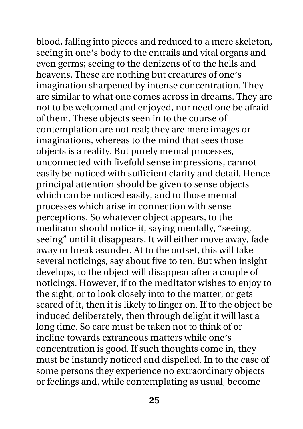blood, falling into pieces and reduced to a mere skeleton, seeing in one's body to the entrails and vital organs and even germs; seeing to the denizens of to the hells and heavens. These are nothing but creatures of one's imagination sharpened by intense concentration. They are similar to what one comes across in dreams. They are not to be welcomed and enjoyed, nor need one be afraid of them. These objects seen in to the course of contemplation are not real; they are mere images or imaginations, whereas to the mind that sees those objects is a reality. But purely mental processes, unconnected with fivefold sense impressions, cannot easily be noticed with sufficient clarity and detail. Hence principal attention should be given to sense objects which can be noticed easily, and to those mental processes which arise in connection with sense perceptions. So whatever object appears, to the meditator should notice it, saying mentally, "seeing, seeing" until it disappears. It will either move away, fade away or break asunder. At to the outset, this will take several noticings, say about five to ten. But when insight develops, to the object will disappear after a couple of noticings. However, if to the meditator wishes to enjoy to the sight, or to look closely into to the matter, or gets scared of it, then it is likely to linger on. If to the object be induced deliberately, then through delight it will last a long time. So care must be taken not to think of or incline towards extraneous matters while one's concentration is good. If such thoughts come in, they must be instantly noticed and dispelled. In to the case of some persons they experience no extraordinary objects or feelings and, while contemplating as usual, become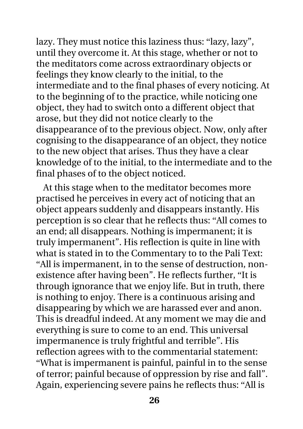lazy. They must notice this laziness thus: "lazy, lazy", until they overcome it. At this stage, whether or not to the meditators come across extraordinary objects or feelings they know clearly to the initial, to the intermediate and to the final phases of every noticing. At to the beginning of to the practice, while noticing one object, they had to switch onto a different object that arose, but they did not notice clearly to the disappearance of to the previous object. Now, only after cognising to the disappearance of an object, they notice to the new object that arises. Thus they have a clear knowledge of to the initial, to the intermediate and to the final phases of to the object noticed.

At this stage when to the meditator becomes more practised he perceives in every act of noticing that an object appears suddenly and disappears instantly. His perception is so clear that he reflects thus: "All comes to an end; all disappears. Nothing is impermanent; it is truly impermanent". His reflection is quite in line with what is stated in to the Commentary to to the Pali Text: "All is impermanent, in to the sense of destruction, nonexistence after having been". He reflects further, "It is through ignorance that we enjoy life. But in truth, there is nothing to enjoy. There is a continuous arising and disappearing by which we are harassed ever and anon. This is dreadful indeed. At any moment we may die and everything is sure to come to an end. This universal impermanence is truly frightful and terrible". His reflection agrees with to the commentarial statement: "What is impermanent is painful, painful in to the sense of terror; painful because of oppression by rise and fall". Again, experiencing severe pains he reflects thus: "All is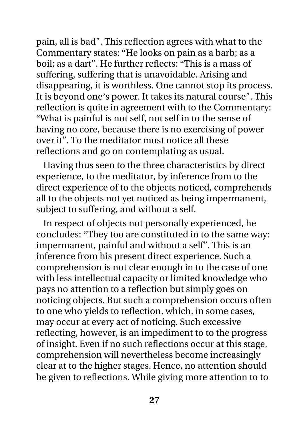pain, all is bad". This reflection agrees with what to the Commentary states: "He looks on pain as a barb; as a boil; as a dart". He further reflects: "This is a mass of suffering, suffering that is unavoidable. Arising and disappearing, it is worthless. One cannot stop its process. It is beyond one's power. It takes its natural course". This reflection is quite in agreement with to the Commentary: "What is painful is not self, not self in to the sense of having no core, because there is no exercising of power over it". To the meditator must notice all these reflections and go on contemplating as usual.

Having thus seen to the three characteristics by direct experience, to the meditator, by inference from to the direct experience of to the objects noticed, comprehends all to the objects not yet noticed as being impermanent, subject to suffering, and without a self.

In respect of objects not personally experienced, he concludes: "They too are constituted in to the same way: impermanent, painful and without a self". This is an inference from his present direct experience. Such a comprehension is not clear enough in to the case of one with less intellectual capacity or limited knowledge who pays no attention to a reflection but simply goes on noticing objects. But such a comprehension occurs often to one who yields to reflection, which, in some cases, may occur at every act of noticing. Such excessive reflecting, however, is an impediment to to the progress of insight. Even if no such reflections occur at this stage, comprehension will nevertheless become increasingly clear at to the higher stages. Hence, no attention should be given to reflections. While giving more attention to to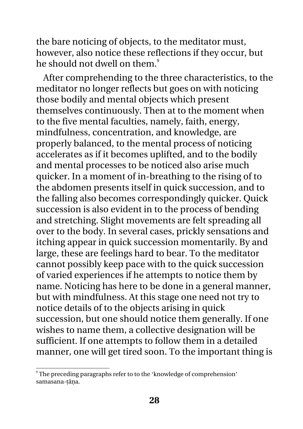the bare noticing of objects, to the meditator must, however, also notice these reflections if they occur, but he should not dwell on them.<sup>9</sup>

After comprehending to the three characteristics, to the meditator no longer reflects but goes on with noticing those bodily and mental objects which present themselves continuously. Then at to the moment when to the five mental faculties, namely, faith, energy, mindfulness, concentration, and knowledge, are properly balanced, to the mental process of noticing accelerates as if it becomes uplifted, and to the bodily and mental processes to be noticed also arise much quicker. In a moment of in-breathing to the rising of to the abdomen presents itself in quick succession, and to the falling also becomes correspondingly quicker. Quick succession is also evident in to the process of bending and stretching. Slight movements are felt spreading all over to the body. In several cases, prickly sensations and itching appear in quick succession momentarily. By and large, these are feelings hard to bear. To the meditator cannot possibly keep pace with to the quick succession of varied experiences if he attempts to notice them by name. Noticing has here to be done in a general manner, but with mindfulness. At this stage one need not try to notice details of to the objects arising in quick succession, but one should notice them generally. If one wishes to name them, a collective designation will be sufficient. If one attempts to follow them in a detailed manner, one will get tired soon. To the important thing is

l

<sup>9</sup> The preceding paragraphs refer to to the 'knowledge of comprehension' samasana-tāna.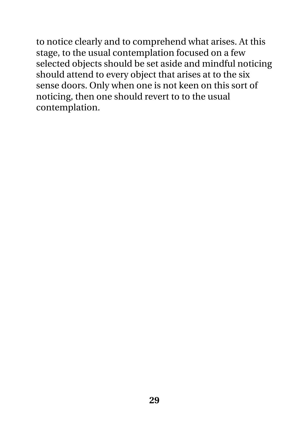to notice clearly and to comprehend what arises. At this stage, to the usual contemplation focused on a few selected objects should be set aside and mindful noticing should attend to every object that arises at to the six sense doors. Only when one is not keen on this sort of noticing, then one should revert to to the usual contemplation.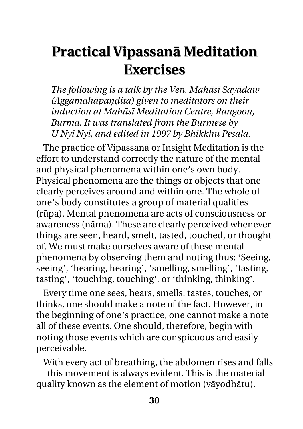# <span id="page-30-0"></span>**PracticalVipassanā Meditation Exercises**

*The following is a talk by the Ven. Mahāsī Sayādaw (Aggamahāpaṇḍita) given to meditators on their induction at Mahāsī Meditation Centre, Rangoon, Burma. It was translated from the Burmese by U Nyi Nyi, and edited in 1997 by Bhikkhu Pesala.*

The practice of Vipassanā or Insight Meditation is the effort to understand correctly the nature of the mental and physical phenomena within one's own body. Physical phenomena are the things or objects that one clearly perceives around and within one. The whole of one's body constitutes a group of material qualities (rūpa). Mental phenomena are acts of consciousness or awareness (nāma). These are clearly perceived whenever things are seen, heard, smelt, tasted, touched, or thought of. We must make ourselves aware of these mental phenomena by observing them and noting thus: 'Seeing, seeing', 'hearing, hearing', 'smelling, smelling', 'tasting, tasting', 'touching, touching', or 'thinking, thinking'.

Every time one sees, hears, smells, tastes, touches, or thinks, one should make a note of the fact. However, in the beginning of one's practice, one cannot make a note all of these events. One should, therefore, begin with noting those events which are conspicuous and easily perceivable.

With every act of breathing, the abdomen rises and falls — this movement is always evident. This is the material quality known as the element of motion (vāyodhātu).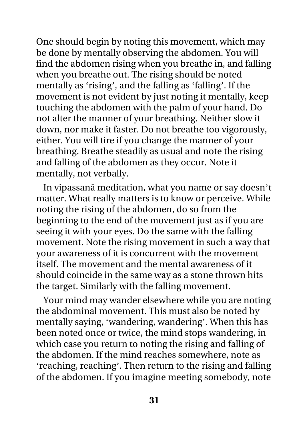One should begin by noting this movement, which may be done by mentally observing the abdomen. You will find the abdomen rising when you breathe in, and falling when you breathe out. The rising should be noted mentally as 'rising', and the falling as 'falling'. If the movement is not evident by just noting it mentally, keep touching the abdomen with the palm of your hand. Do not alter the manner of your breathing. Neither slow it down, nor make it faster. Do not breathe too vigorously, either. You will tire if you change the manner of your breathing. Breathe steadily as usual and note the rising and falling of the abdomen as they occur. Note it mentally, not verbally.

In vipassanā meditation, what you name or say doesn't matter. What really matters is to know or perceive. While noting the rising of the abdomen, do so from the beginning to the end of the movement just as if you are seeing it with your eyes. Do the same with the falling movement. Note the rising movement in such a way that your awareness of it is concurrent with the movement itself. The movement and the mental awareness of it should coincide in the same way as a stone thrown hits the target. Similarly with the falling movement.

Your mind may wander elsewhere while you are noting the abdominal movement. This must also be noted by mentally saying, 'wandering, wandering'. When this has been noted once or twice, the mind stops wandering, in which case you return to noting the rising and falling of the abdomen. If the mind reaches somewhere, note as 'reaching, reaching'. Then return to the rising and falling of the abdomen. If you imagine meeting somebody, note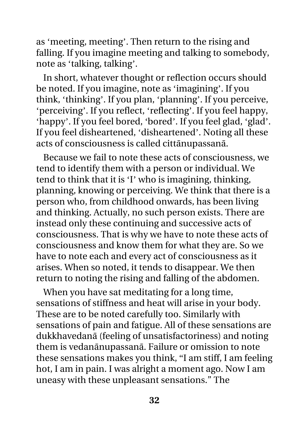as 'meeting, meeting'. Then return to the rising and falling. If you imagine meeting and talking to somebody, note as 'talking, talking'.

In short, whatever thought or reflection occurs should be noted. If you imagine, note as 'imagining'. If you think, 'thinking'. If you plan, 'planning'. If you perceive, 'perceiving'. If you reflect, 'reflecting'. If you feel happy, 'happy'. If you feel bored, 'bored'. If you feel glad, 'glad'. If you feel disheartened, 'disheartened'. Noting all these acts of consciousness is called cittānupassanā.

Because we fail to note these acts of consciousness, we tend to identify them with a person or individual. We tend to think that it is 'I' who is imagining, thinking, planning, knowing or perceiving. We think that there is a person who, from childhood onwards, has been living and thinking. Actually, no such person exists. There are instead only these continuing and successive acts of consciousness. That is why we have to note these acts of consciousness and know them for what they are. So we have to note each and every act of consciousness as it arises. When so noted, it tends to disappear. We then return to noting the rising and falling of the abdomen.

When you have sat meditating for a long time, sensations of stiffness and heat will arise in your body. These are to be noted carefully too. Similarly with sensations of pain and fatigue. All of these sensations are dukkhavedanā (feeling of unsatisfactoriness) and noting them is vedanānupassanā. Failure or omission to note these sensations makes you think, "I am stiff, I am feeling hot, I am in pain. I was alright a moment ago. Now I am uneasy with these unpleasant sensations." The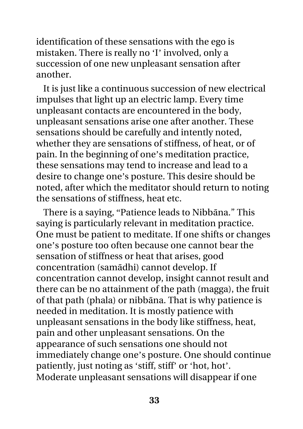identification of these sensations with the ego is mistaken. There is really no 'I' involved, only a succession of one new unpleasant sensation after another.

It is just like a continuous succession of new electrical impulses that light up an electric lamp. Every time unpleasant contacts are encountered in the body, unpleasant sensations arise one after another. These sensations should be carefully and intently noted, whether they are sensations of stiffness, of heat, or of pain. In the beginning of one's meditation practice, these sensations may tend to increase and lead to a desire to change one's posture. This desire should be noted, after which the meditator should return to noting the sensations of stiffness, heat etc.

There is a saying, "Patience leads to Nibbāna." This saying is particularly relevant in meditation practice. One must be patient to meditate. If one shifts or changes one's posture too often because one cannot bear the sensation of stiffness or heat that arises, good concentration (samādhi) cannot develop. If concentration cannot develop, insight cannot result and there can be no attainment of the path (magga), the fruit of that path (phala) or nibbāna. That is why patience is needed in meditation. It is mostly patience with unpleasant sensations in the body like stiffness, heat, pain and other unpleasant sensations. On the appearance of such sensations one should not immediately change one's posture. One should continue patiently, just noting as 'stiff, stiff' or 'hot, hot'. Moderate unpleasant sensations will disappear if one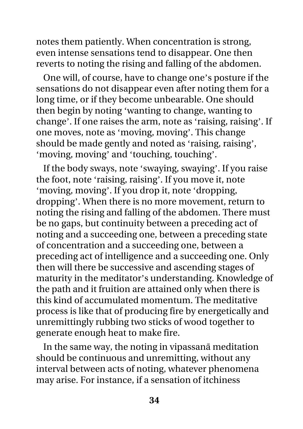notes them patiently. When concentration is strong, even intense sensations tend to disappear. One then reverts to noting the rising and falling of the abdomen.

One will, of course, have to change one's posture if the sensations do not disappear even after noting them for a long time, or if they become unbearable. One should then begin by noting 'wanting to change, wanting to change'. If one raises the arm, note as 'raising, raising'. If one moves, note as 'moving, moving'. This change should be made gently and noted as 'raising, raising', 'moving, moving' and 'touching, touching'.

If the body sways, note 'swaying, swaying'. If you raise the foot, note 'raising, raising'. If you move it, note 'moving, moving'. If you drop it, note 'dropping, dropping'. When there is no more movement, return to noting the rising and falling of the abdomen. There must be no gaps, but continuity between a preceding act of noting and a succeeding one, between a preceding state of concentration and a succeeding one, between a preceding act of intelligence and a succeeding one. Only then will there be successive and ascending stages of maturity in the meditator's understanding. Knowledge of the path and it fruition are attained only when there is this kind of accumulated momentum. The meditative process is like that of producing fire by energetically and unremittingly rubbing two sticks of wood together to generate enough heat to make fire.

In the same way, the noting in vipassanā meditation should be continuous and unremitting, without any interval between acts of noting, whatever phenomena may arise. For instance, if a sensation of itchiness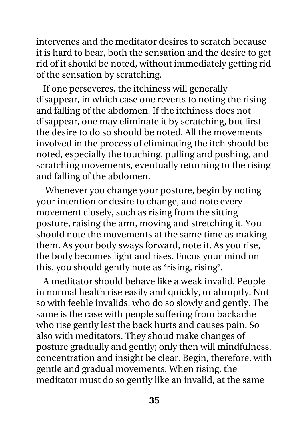intervenes and the meditator desires to scratch because it is hard to bear, both the sensation and the desire to get rid of it should be noted, without immediately getting rid of the sensation by scratching.

If one perseveres, the itchiness will generally disappear, in which case one reverts to noting the rising and falling of the abdomen. If the itchiness does not disappear, one may eliminate it by scratching, but first the desire to do so should be noted. All the movements involved in the process of eliminating the itch should be noted, especially the touching, pulling and pushing, and scratching movements, eventually returning to the rising and falling of the abdomen.

 Whenever you change your posture, begin by noting your intention or desire to change, and note every movement closely, such as rising from the sitting posture, raising the arm, moving and stretching it. You should note the movements at the same time as making them. As your body sways forward, note it. As you rise, the body becomes light and rises. Focus your mind on this, you should gently note as 'rising, rising'.

A meditator should behave like a weak invalid. People in normal health rise easily and quickly, or abruptly. Not so with feeble invalids, who do so slowly and gently. The same is the case with people suffering from backache who rise gently lest the back hurts and causes pain. So also with meditators. They shoud make changes of posture gradually and gently; only then will mindfulness, concentration and insight be clear. Begin, therefore, with gentle and gradual movements. When rising, the meditator must do so gently like an invalid, at the same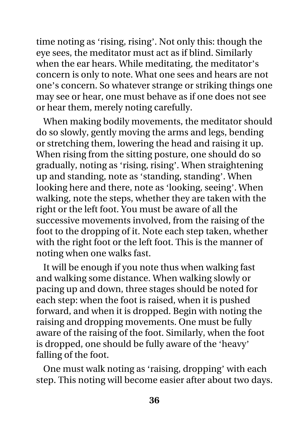time noting as 'rising, rising'. Not only this: though the eye sees, the meditator must act as if blind. Similarly when the ear hears. While meditating, the meditator's concern is only to note. What one sees and hears are not one's concern. So whatever strange or striking things one may see or hear, one must behave as if one does not see or hear them, merely noting carefully.

When making bodily movements, the meditator should do so slowly, gently moving the arms and legs, bending or stretching them, lowering the head and raising it up. When rising from the sitting posture, one should do so gradually, noting as 'rising, rising'. When straightening up and standing, note as 'standing, standing'. When looking here and there, note as 'looking, seeing'. When walking, note the steps, whether they are taken with the right or the left foot. You must be aware of all the successive movements involved, from the raising of the foot to the dropping of it. Note each step taken, whether with the right foot or the left foot. This is the manner of noting when one walks fast.

It will be enough if you note thus when walking fast and walking some distance. When walking slowly or pacing up and down, three stages should be noted for each step: when the foot is raised, when it is pushed forward, and when it is dropped. Begin with noting the raising and dropping movements. One must be fully aware of the raising of the foot. Similarly, when the foot is dropped, one should be fully aware of the 'heavy' falling of the foot.

One must walk noting as 'raising, dropping' with each step. This noting will become easier after about two days.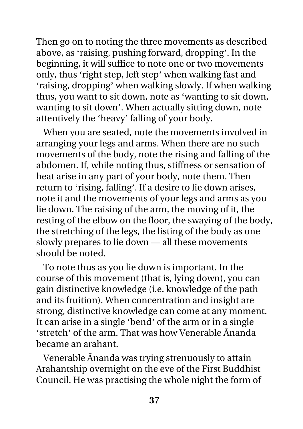Then go on to noting the three movements as described above, as 'raising, pushing forward, dropping'. In the beginning, it will suffice to note one or two movements only, thus 'right step, left step' when walking fast and 'raising, dropping' when walking slowly. If when walking thus, you want to sit down, note as 'wanting to sit down, wanting to sit down'. When actually sitting down, note attentively the 'heavy' falling of your body.

When you are seated, note the movements involved in arranging your legs and arms. When there are no such movements of the body, note the rising and falling of the abdomen. If, while noting thus, stiffness or sensation of heat arise in any part of your body, note them. Then return to 'rising, falling'. If a desire to lie down arises, note it and the movements of your legs and arms as you lie down. The raising of the arm, the moving of it, the resting of the elbow on the floor, the swaying of the body, the stretching of the legs, the listing of the body as one slowly prepares to lie down — all these movements should be noted.

To note thus as you lie down is important. In the course of this movement (that is, lying down), you can gain distinctive knowledge (i.e. knowledge of the path and its fruition). When concentration and insight are strong, distinctive knowledge can come at any moment. It can arise in a single 'bend' of the arm or in a single 'stretch' of the arm. That was how Venerable Ānanda became an arahant.

Venerable Ānanda was trying strenuously to attain Arahantship overnight on the eve of the First Buddhist Council. He was practising the whole night the form of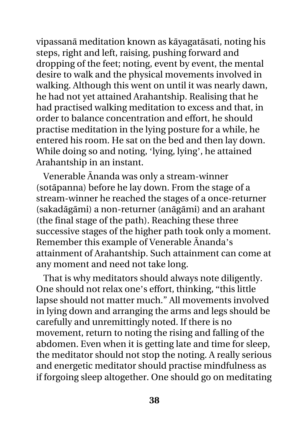vipassanā meditation known as kāyagatāsati, noting his steps, right and left, raising, pushing forward and dropping of the feet; noting, event by event, the mental desire to walk and the physical movements involved in walking. Although this went on until it was nearly dawn, he had not yet attained Arahantship. Realising that he had practised walking meditation to excess and that, in order to balance concentration and effort, he should practise meditation in the lying posture for a while, he entered his room. He sat on the bed and then lay down. While doing so and noting, 'lying, lying', he attained Arahantship in an instant.

Venerable Ānanda was only a stream-winner (sotāpanna) before he lay down. From the stage of a stream-winner he reached the stages of a once-returner (sakadāgāmi) a non-returner (anāgāmi) and an arahant (the final stage of the path). Reaching these three successive stages of the higher path took only a moment. Remember this example of Venerable Ānanda's attainment of Arahantship. Such attainment can come at any moment and need not take long.

That is why meditators should always note diligently. One should not relax one's effort, thinking, "this little lapse should not matter much." All movements involved in lying down and arranging the arms and legs should be carefully and unremittingly noted. If there is no movement, return to noting the rising and falling of the abdomen. Even when it is getting late and time for sleep, the meditator should not stop the noting. A really serious and energetic meditator should practise mindfulness as if forgoing sleep altogether. One should go on meditating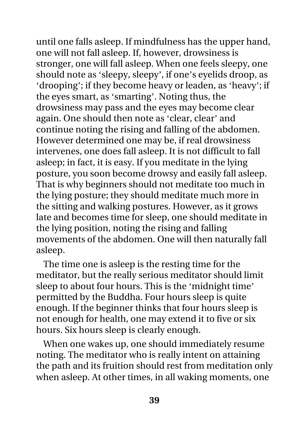until one falls asleep. If mindfulness has the upper hand, one will not fall asleep. If, however, drowsiness is stronger, one will fall asleep. When one feels sleepy, one should note as 'sleepy, sleepy', if one's eyelids droop, as 'drooping'; if they become heavy or leaden, as 'heavy'; if the eyes smart, as 'smarting'. Noting thus, the drowsiness may pass and the eyes may become clear again. One should then note as 'clear, clear' and continue noting the rising and falling of the abdomen. However determined one may be, if real drowsiness intervenes, one does fall asleep. It is not difficult to fall asleep; in fact, it is easy. If you meditate in the lying posture, you soon become drowsy and easily fall asleep. That is why beginners should not meditate too much in the lying posture; they should meditate much more in the sitting and walking postures. However, as it grows late and becomes time for sleep, one should meditate in the lying position, noting the rising and falling movements of the abdomen. One will then naturally fall asleep.

The time one is asleep is the resting time for the meditator, but the really serious meditator should limit sleep to about four hours. This is the 'midnight time' permitted by the Buddha. Four hours sleep is quite enough. If the beginner thinks that four hours sleep is not enough for health, one may extend it to five or six hours. Six hours sleep is clearly enough.

When one wakes up, one should immediately resume noting. The meditator who is really intent on attaining the path and its fruition should rest from meditation only when asleep. At other times, in all waking moments, one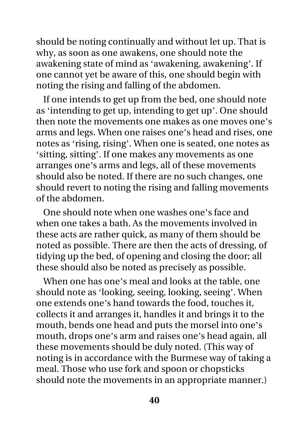should be noting continually and without let up. That is why, as soon as one awakens, one should note the awakening state of mind as 'awakening, awakening'. If one cannot yet be aware of this, one should begin with noting the rising and falling of the abdomen.

If one intends to get up from the bed, one should note as 'intending to get up, intending to get up'. One should then note the movements one makes as one moves one's arms and legs. When one raises one's head and rises, one notes as 'rising, rising'. When one is seated, one notes as 'sitting, sitting'. If one makes any movements as one arranges one's arms and legs, all of these movements should also be noted. If there are no such changes, one should revert to noting the rising and falling movements of the abdomen.

One should note when one washes one's face and when one takes a bath. As the movements involved in these acts are rather quick, as many of them should be noted as possible. There are then the acts of dressing, of tidying up the bed, of opening and closing the door; all these should also be noted as precisely as possible.

When one has one's meal and looks at the table, one should note as 'looking, seeing, looking, seeing'. When one extends one's hand towards the food, touches it, collects it and arranges it, handles it and brings it to the mouth, bends one head and puts the morsel into one's mouth, drops one's arm and raises one's head again, all these movements should be duly noted. (This way of noting is in accordance with the Burmese way of taking a meal. Those who use fork and spoon or chopsticks should note the movements in an appropriate manner.)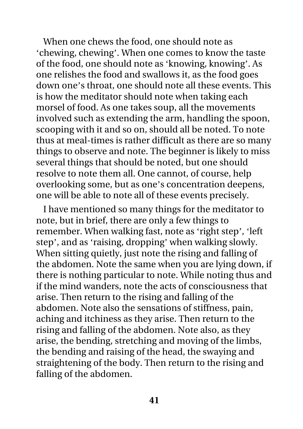When one chews the food, one should note as 'chewing, chewing'. When one comes to know the taste of the food, one should note as 'knowing, knowing'. As one relishes the food and swallows it, as the food goes down one's throat, one should note all these events. This is how the meditator should note when taking each morsel of food. As one takes soup, all the movements involved such as extending the arm, handling the spoon, scooping with it and so on, should all be noted. To note thus at meal-times is rather difficult as there are so many things to observe and note. The beginner is likely to miss several things that should be noted, but one should resolve to note them all. One cannot, of course, help overlooking some, but as one's concentration deepens, one will be able to note all of these events precisely.

I have mentioned so many things for the meditator to note, but in brief, there are only a few things to remember. When walking fast, note as 'right step', 'left step', and as 'raising, dropping' when walking slowly. When sitting quietly, just note the rising and falling of the abdomen. Note the same when you are lying down, if there is nothing particular to note. While noting thus and if the mind wanders, note the acts of consciousness that arise. Then return to the rising and falling of the abdomen. Note also the sensations of stiffness, pain, aching and itchiness as they arise. Then return to the rising and falling of the abdomen. Note also, as they arise, the bending, stretching and moving of the limbs, the bending and raising of the head, the swaying and straightening of the body. Then return to the rising and falling of the abdomen.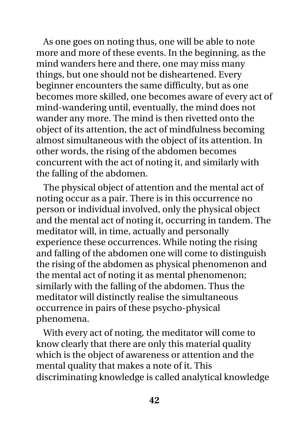As one goes on noting thus, one will be able to note more and more of these events. In the beginning, as the mind wanders here and there, one may miss many things, but one should not be disheartened. Every beginner encounters the same difficulty, but as one becomes more skilled, one becomes aware of every act of mind-wandering until, eventually, the mind does not wander any more. The mind is then rivetted onto the object of its attention, the act of mindfulness becoming almost simultaneous with the object of its attention. In other words, the rising of the abdomen becomes concurrent with the act of noting it, and similarly with the falling of the abdomen.

The physical object of attention and the mental act of noting occur as a pair. There is in this occurrence no person or individual involved, only the physical object and the mental act of noting it, occurring in tandem. The meditator will, in time, actually and personally experience these occurrences. While noting the rising and falling of the abdomen one will come to distinguish the rising of the abdomen as physical phenomenon and the mental act of noting it as mental phenomenon; similarly with the falling of the abdomen. Thus the meditator will distinctly realise the simultaneous occurrence in pairs of these psycho-physical phenomena.

With every act of noting, the meditator will come to know clearly that there are only this material quality which is the object of awareness or attention and the mental quality that makes a note of it. This discriminating knowledge is called analytical knowledge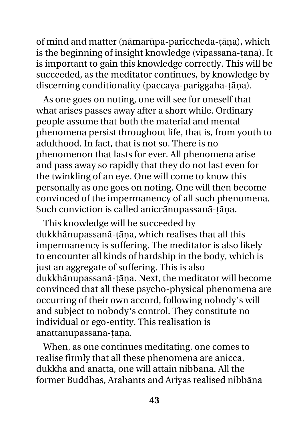of mind and matter (nāmarūpa-pariccheda-tāna), which is the beginning of insight knowledge (vipassanā-ṭāṇa). It is important to gain this knowledge correctly. This will be succeeded, as the meditator continues, by knowledge by discerning conditionality (paccaya-pariggaha-țāṇa).

As one goes on noting, one will see for oneself that what arises passes away after a short while. Ordinary people assume that both the material and mental phenomena persist throughout life, that is, from youth to adulthood. In fact, that is not so. There is no phenomenon that lasts for ever. All phenomena arise and pass away so rapidly that they do not last even for the twinkling of an eye. One will come to know this personally as one goes on noting. One will then become convinced of the impermanency of all such phenomena. Such conviction is called aniccānupassanā-țāṇa.

This knowledge will be succeeded by dukkhānupassanā-țāņa, which realises that all this impermanency is suffering. The meditator is also likely to encounter all kinds of hardship in the body, which is just an aggregate of suffering. This is also dukkhānupassanā-țāṇa. Next, the meditator will become convinced that all these psycho-physical phenomena are occurring of their own accord, following nobody's will and subject to nobody's control. They constitute no individual or ego-entity. This realisation is anattānupassanā-țāņa.

When, as one continues meditating, one comes to realise firmly that all these phenomena are anicca, dukkha and anatta, one will attain nibbāna. All the former Buddhas, Arahants and Ariyas realised nibbāna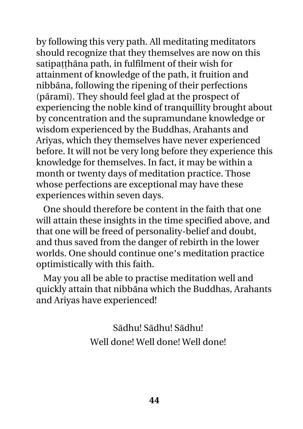by following this very path. All meditating meditators should recognize that they themselves are now on this satipaṭṭhāna path, in fulfilment of their wish for attainment of knowledge of the path, it fruition and nibbāna, following the ripening of their perfections (pāramī). They should feel glad at the prospect of experiencing the noble kind of tranquillity brought about by concentration and the supramundane knowledge or wisdom experienced by the Buddhas, Arahants and Ariyas, which they themselves have never experienced before. It will not be very long before they experience this knowledge for themselves. In fact, it may be within a month or twenty days of meditation practice. Those whose perfections are exceptional may have these experiences within seven days.

One should therefore be content in the faith that one will attain these insights in the time specified above, and that one will be freed of personality-belief and doubt, and thus saved from the danger of rebirth in the lower worlds. One should continue one's meditation practice optimistically with this faith.

May you all be able to practise meditation well and quickly attain that nibbāna which the Buddhas, Arahants and Ariyas have experienced!

> Sādhu! Sādhu! Sādhu! Well done! Well done! Well done!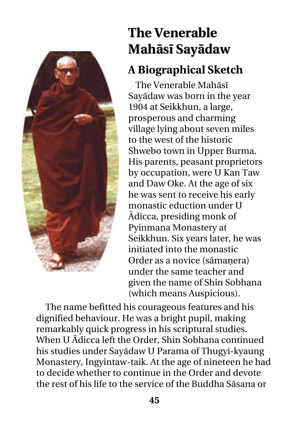<span id="page-45-0"></span>

# **The Venerable Mahāsī Sayādaw**

## **A Biographical Sketch**

The Venerable Mahāsī Sayādaw was born in the year 1904 at Seikkhun, a large, prosperous and charming village lying about seven miles to the west of the historic Shwebo town in Upper Burma. His parents, peasant proprietors by occupation, were U Kan Taw and Daw Oke. At the age of six he was sent to receive his early monastic eduction under U Ādicca, presiding monk of Pyinmana Monastery at Seikkhun. Six years later, he was initiated into the monastic Order as a novice (sāmanera) under the same teacher and given the name of Shin Sobhana (which means Auspicious).

 The name befitted his courageous features and his dignified behaviour. He was a bright pupil, making remarkably quick progress in his scriptural studies. When U Ādicca left the Order, Shin Sobhana continued his studies under Sayādaw U Parama of Thugyi-kyaung Monastery, Ingyintaw-taik. At the age of nineteen he had to decide whether to continue in the Order and devote the rest of his life to the service of the Buddha Sāsana or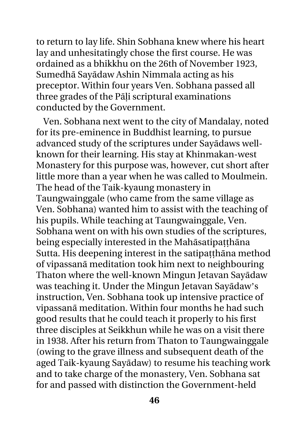to return to lay life. Shin Sobhana knew where his heart lay and unhesitatingly chose the first course. He was ordained as a bhikkhu on the 26th of November 1923, Sumedhā Sayādaw Ashin Nimmala acting as his preceptor. Within four years Ven. Sobhana passed all three grades of the Pāļi scriptural examinations conducted by the Government.

Ven. Sobhana next went to the city of Mandalay, noted for its pre-eminence in Buddhist learning, to pursue advanced study of the scriptures under Sayādaws wellknown for their learning. His stay at Khinmakan-west Monastery for this purpose was, however, cut short after little more than a year when he was called to Moulmein. The head of the Taik-kyaung monastery in Taungwainggale (who came from the same village as Ven. Sobhana) wanted him to assist with the teaching of his pupils. While teaching at Taungwainggale, Ven. Sobhana went on with his own studies of the scriptures, being especially interested in the Mahāsatipaṭṭhāna Sutta. His deepening interest in the satipaṭṭhāna method of vipassanā meditation took him next to neighbouring Thaton where the well-known Mingun Jetavan Sayādaw was teaching it. Under the Mingun Jetavan Sayādaw's instruction, Ven. Sobhana took up intensive practice of vipassanā meditation. Within four months he had such good results that he could teach it properly to his first three disciples at Seikkhun while he was on a visit there in 1938. After his return from Thaton to Taungwainggale (owing to the grave illness and subsequent death of the aged Taik-kyaung Sayādaw) to resume his teaching work and to take charge of the monastery, Ven. Sobhana sat for and passed with distinction the Government-held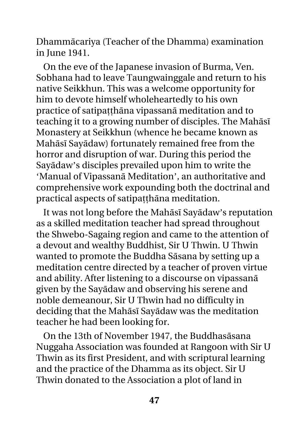Dhammācariya (Teacher of the Dhamma) examination in June 1941.

On the eve of the Japanese invasion of Burma, Ven. Sobhana had to leave Taungwainggale and return to his native Seikkhun. This was a welcome opportunity for him to devote himself wholeheartedly to his own practice of satipaṭṭhāna vipassanā meditation and to teaching it to a growing number of disciples. The Mahāsī Monastery at Seikkhun (whence he became known as Mahāsī Sayādaw) fortunately remained free from the horror and disruption of war. During this period the Sayādaw's disciples prevailed upon him to write the 'Manual of Vipassanā Meditation', an authoritative and comprehensive work expounding both the doctrinal and practical aspects of satipaṭṭhāna meditation.

It was not long before the Mahāsī Sayādaw's reputation as a skilled meditation teacher had spread throughout the Shwebo-Sagaing region and came to the attention of a devout and wealthy Buddhist, Sir U Thwin. U Thwin wanted to promote the Buddha Sāsana by setting up a meditation centre directed by a teacher of proven virtue and ability. After listening to a discourse on vipassanā given by the Sayādaw and observing his serene and noble demeanour, Sir U Thwin had no difficulty in deciding that the Mahāsī Sayādaw was the meditation teacher he had been looking for.

On the 13th of November 1947, the Buddhasāsana Nuggaha Association was founded at Rangoon with Sir U Thwin as its first President, and with scriptural learning and the practice of the Dhamma as its object. Sir U Thwin donated to the Association a plot of land in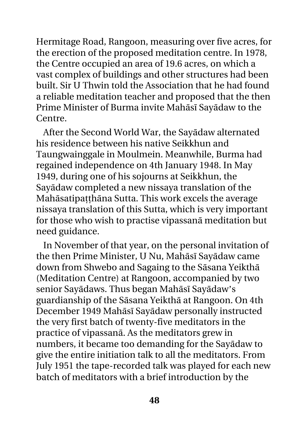Hermitage Road, Rangoon, measuring over five acres, for the erection of the proposed meditation centre. In 1978, the Centre occupied an area of 19.6 acres, on which a vast complex of buildings and other structures had been built. Sir U Thwin told the Association that he had found a reliable meditation teacher and proposed that the then Prime Minister of Burma invite Mahāsī Sayādaw to the Centre.

After the Second World War, the Sayādaw alternated his residence between his native Seikkhun and Taungwainggale in Moulmein. Meanwhile, Burma had regained independence on 4th January 1948. In May 1949, during one of his sojourns at Seikkhun, the Sayādaw completed a new nissaya translation of the Mahāsatipaṭṭhāna Sutta. This work excels the average nissaya translation of this Sutta, which is very important for those who wish to practise vipassanā meditation but need guidance.

In November of that year, on the personal invitation of the then Prime Minister, U Nu, Mahāsī Sayādaw came down from Shwebo and Sagaing to the Sāsana Yeikthā (Meditation Centre) at Rangoon, accompanied by two senior Sayādaws. Thus began Mahāsī Sayādaw's guardianship of the Sāsana Yeikthā at Rangoon. On 4th December 1949 Mahāsī Sayādaw personally instructed the very first batch of twenty-five meditators in the practice of vipassanā. As the meditators grew in numbers, it became too demanding for the Sayādaw to give the entire initiation talk to all the meditators. From July 1951 the tape-recorded talk was played for each new batch of meditators with a brief introduction by the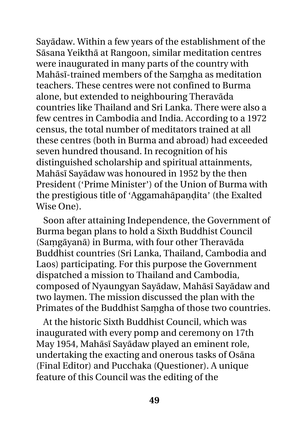Sayādaw. Within a few years of the establishment of the Sāsana Yeikthā at Rangoon, similar meditation centres were inaugurated in many parts of the country with Mahāsī-trained members of the Samgha as meditation teachers. These centres were not confined to Burma alone, but extended to neighbouring Theravāda countries like Thailand and Sri Lanka. There were also a few centres in Cambodia and India. According to a 1972 census, the total number of meditators trained at all these centres (both in Burma and abroad) had exceeded seven hundred thousand. In recognition of his distinguished scholarship and spiritual attainments, Mahāsī Sayādaw was honoured in 1952 by the then President ('Prime Minister') of the Union of Burma with the prestigious title of 'Aggamahāpaṇḍita' (the Exalted Wise One).

Soon after attaining Independence, the Government of Burma began plans to hold a Sixth Buddhist Council (Samgāyanā) in Burma, with four other Theravāda Buddhist countries (Sri Lanka, Thailand, Cambodia and Laos) participating. For this purpose the Government dispatched a mission to Thailand and Cambodia, composed of Nyaungyan Sayādaw, Mahāsī Sayādaw and two laymen. The mission discussed the plan with the Primates of the Buddhist Samgha of those two countries.

At the historic Sixth Buddhist Council, which was inaugurated with every pomp and ceremony on 17th May 1954, Mahāsī Sayādaw played an eminent role, undertaking the exacting and onerous tasks of Osāna (Final Editor) and Pucchaka (Questioner). A unique feature of this Council was the editing of the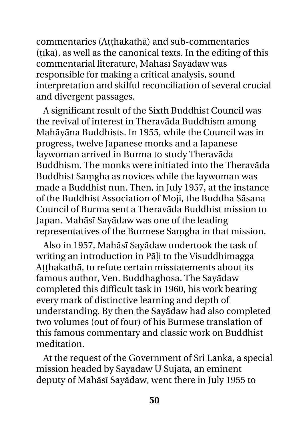commentaries (Atthakathā) and sub-commentaries (ñīkā), as well as the canonical texts. In the editing of this commentarial literature, Mahāsī Sayādaw was responsible for making a critical analysis, sound interpretation and skilful reconciliation of several crucial and divergent passages.

A significant result of the Sixth Buddhist Council was the revival of interest in Theravāda Buddhism among Mahāyāna Buddhists. In 1955, while the Council was in progress, twelve Japanese monks and a Japanese laywoman arrived in Burma to study Theravāda Buddhism. The monks were initiated into the Theravāda Buddhist Samgha as novices while the laywoman was made a Buddhist nun. Then, in July 1957, at the instance of the Buddhist Association of Moji, the Buddha Sāsana Council of Burma sent a Theravāda Buddhist mission to Japan. Mahāsī Sayādaw was one of the leading representatives of the Burmese Samgha in that mission.

Also in 1957, Mahāsī Sayādaw undertook the task of writing an introduction in Pāļi to the Visuddhimagga Aṭṭhakathā, to refute certain misstatements about its famous author, Ven. Buddhaghosa. The Sayādaw completed this difficult task in 1960, his work bearing every mark of distinctive learning and depth of understanding. By then the Sayādaw had also completed two volumes (out of four) of his Burmese translation of this famous commentary and classic work on Buddhist meditation.

At the request of the Government of Sri Lanka, a special mission headed by Sayādaw U Sujāta, an eminent deputy of Mahāsī Sayādaw, went there in July 1955 to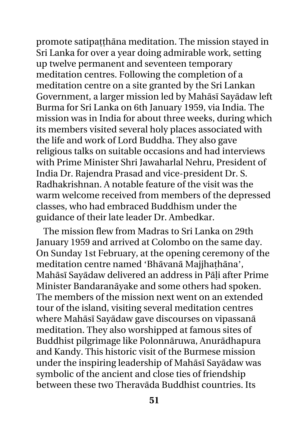promote satipațthāna meditation. The mission stayed in Sri Lanka for over a year doing admirable work, setting up twelve permanent and seventeen temporary meditation centres. Following the completion of a meditation centre on a site granted by the Sri Lankan Government, a larger mission led by Mahāsī Sayādaw left Burma for Sri Lanka on 6th January 1959, via India. The mission was in India for about three weeks, during which its members visited several holy places associated with the life and work of Lord Buddha. They also gave religious talks on suitable occasions and had interviews with Prime Minister Shri Jawaharlal Nehru, President of India Dr. Rajendra Prasad and vice-president Dr. S. Radhakrishnan. A notable feature of the visit was the warm welcome received from members of the depressed classes, who had embraced Buddhism under the guidance of their late leader Dr. Ambedkar.

The mission flew from Madras to Sri Lanka on 29th January 1959 and arrived at Colombo on the same day. On Sunday 1st February, at the opening ceremony of the meditation centre named 'Bhāvanā Majjhaṭhāna', Mahāsī Sayādaw delivered an address in Pāļi after Prime Minister Bandaranāyake and some others had spoken. The members of the mission next went on an extended tour of the island, visiting several meditation centres where Mahāsī Sayādaw gave discourses on vipassanā meditation. They also worshipped at famous sites of Buddhist pilgrimage like Polonnāruwa, Anurādhapura and Kandy. This historic visit of the Burmese mission under the inspiring leadership of Mahāsī Sayādaw was symbolic of the ancient and close ties of friendship between these two Theravāda Buddhist countries. Its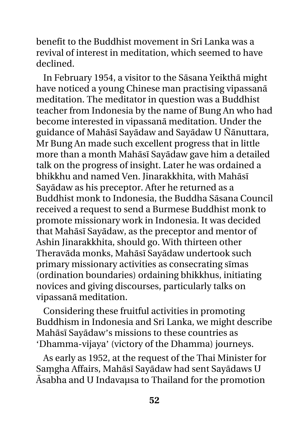benefit to the Buddhist movement in Sri Lanka was a revival of interest in meditation, which seemed to have declined.

In February 1954, a visitor to the Sāsana Yeikthā might have noticed a young Chinese man practising vipassanā meditation. The meditator in question was a Buddhist teacher from Indonesia by the name of Bung An who had become interested in vipassanā meditation. Under the guidance of Mahāsī Sayādaw and Sayādaw U Ñānuttara, Mr Bung An made such excellent progress that in little more than a month Mahāsī Sayādaw gave him a detailed talk on the progress of insight. Later he was ordained a bhikkhu and named Ven. Jinarakkhita, with Mahāsī Sayādaw as his preceptor. After he returned as a Buddhist monk to Indonesia, the Buddha Sāsana Council received a request to send a Burmese Buddhist monk to promote missionary work in Indonesia. It was decided that Mahāsī Sayādaw, as the preceptor and mentor of Ashin Jinarakkhita, should go. With thirteen other Theravāda monks, Mahāsī Sayādaw undertook such primary missionary activities as consecrating sīmas (ordination boundaries) ordaining bhikkhus, initiating novices and giving discourses, particularly talks on vipassanā meditation.

Considering these fruitful activities in promoting Buddhism in Indonesia and Sri Lanka, we might describe Mahāsī Sayādaw's missions to these countries as 'Dhamma-vijaya' (victory of the Dhamma) journeys.

As early as 1952, at the request of the Thai Minister for Samgha Affairs, Mahāsī Sayādaw had sent Sayādaws U Āsabha and U Indavaµsa to Thailand for the promotion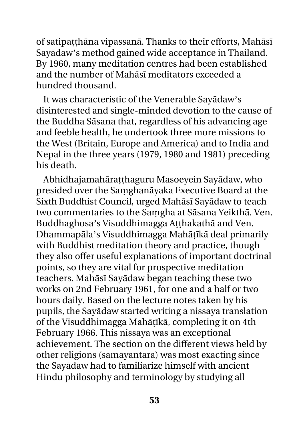of satipațțhāna vipassanā. Thanks to their efforts, Mahāsī Sayādaw's method gained wide acceptance in Thailand. By 1960, many meditation centres had been established and the number of Mahāsī meditators exceeded a hundred thousand.

It was characteristic of the Venerable Sayādaw's disinterested and single-minded devotion to the cause of the Buddha Sāsana that, regardless of his advancing age and feeble health, he undertook three more missions to the West (Britain, Europe and America) and to India and Nepal in the three years (1979, 1980 and 1981) preceding his death.

Abhidhajamahāraṭṭhaguru Masoeyein Sayādaw, who presided over the Saṃghanāyaka Executive Board at the Sixth Buddhist Council, urged Mahāsī Sayādaw to teach two commentaries to the Saṃgha at Sāsana Yeikthā. Ven. Buddhaghosa's Visuddhimagga Atthakathā and Ven. Dhammapāla's Visuddhimagga Mahāṭīkā deal primarily with Buddhist meditation theory and practice, though they also offer useful explanations of important doctrinal points, so they are vital for prospective meditation teachers. Mahāsī Sayādaw began teaching these two works on 2nd February 1961, for one and a half or two hours daily. Based on the lecture notes taken by his pupils, the Sayādaw started writing a nissaya translation of the Visuddhimagga Mahāṭīkā, completing it on 4th February 1966. This nissaya was an exceptional achievement. The section on the different views held by other religions (samayantara) was most exacting since the Sayādaw had to familiarize himself with ancient Hindu philosophy and terminology by studying all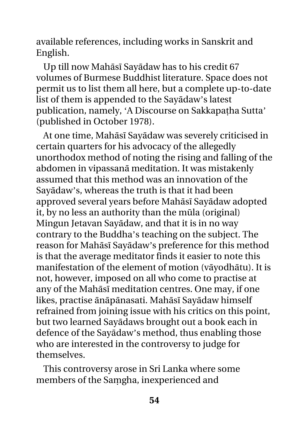available references, including works in Sanskrit and English.

Up till now Mahāsī Sayādaw has to his credit 67 volumes of Burmese Buddhist literature. Space does not permit us to list them all here, but a complete up-to-date list of them is appended to the Sayādaw's latest publication, namely, 'A Discourse on Sakkapatha Sutta' (published in October 1978).

At one time, Mahāsī Sayādaw was severely criticised in certain quarters for his advocacy of the allegedly unorthodox method of noting the rising and falling of the abdomen in vipassanā meditation. It was mistakenly assumed that this method was an innovation of the Sayādaw's, whereas the truth is that it had been approved several years before Mahāsī Sayādaw adopted it, by no less an authority than the mūla (original) Mingun Jetavan Sayādaw, and that it is in no way contrary to the Buddha's teaching on the subject. The reason for Mahāsī Sayādaw's preference for this method is that the average meditator finds it easier to note this manifestation of the element of motion (vāyodhātu). It is not, however, imposed on all who come to practise at any of the Mahāsī meditation centres. One may, if one likes, practise ānāpānasati. Mahāsī Sayādaw himself refrained from joining issue with his critics on this point, but two learned Sayādaws brought out a book each in defence of the Sayādaw's method, thus enabling those who are interested in the controversy to judge for themselves.

This controversy arose in Sri Lanka where some members of the Samgha, inexperienced and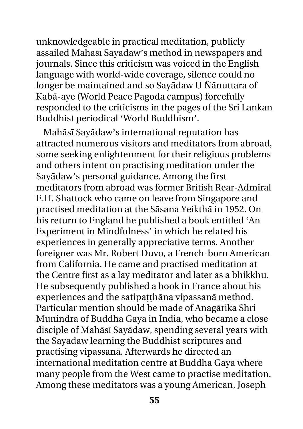unknowledgeable in practical meditation, publicly assailed Mahāsī Sayādaw's method in newspapers and journals. Since this criticism was voiced in the English language with world-wide coverage, silence could no longer be maintained and so Sayādaw U Ñānuttara of Kabā-aye (World Peace Pagoda campus) forcefully responded to the criticisms in the pages of the Sri Lankan Buddhist periodical 'World Buddhism'.

Mahāsī Sayādaw's international reputation has attracted numerous visitors and meditators from abroad, some seeking enlightenment for their religious problems and others intent on practising meditation under the Sayādaw's personal guidance. Among the first meditators from abroad was former British Rear-Admiral E.H. Shattock who came on leave from Singapore and practised meditation at the Sāsana Yeikthā in 1952. On his return to England he published a book entitled 'An Experiment in Mindfulness' in which he related his experiences in generally appreciative terms. Another foreigner was Mr. Robert Duvo, a French-born American from California. He came and practised meditation at the Centre first as a lay meditator and later as a bhikkhu. He subsequently published a book in France about his experiences and the satipațțhāna vipassanā method. Particular mention should be made of Anagārika Shri Munindra of Buddha Gayā in India, who became a close disciple of Mahāsī Sayādaw, spending several years with the Sayādaw learning the Buddhist scriptures and practising vipassanā. Afterwards he directed an international meditation centre at Buddha Gayā where many people from the West came to practise meditation. Among these meditators was a young American, Joseph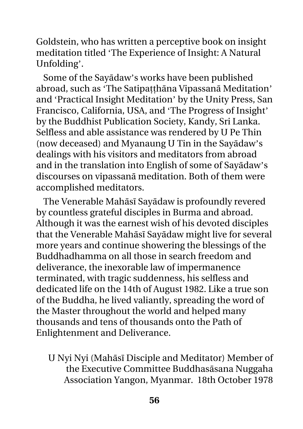Goldstein, who has written a perceptive book on insight meditation titled 'The Experience of Insight: A Natural Unfolding'.

Some of the Sayādaw's works have been published abroad, such as 'The Satipaṭṭhāna Vipassanā Meditation' and 'Practical Insight Meditation' by the Unity Press, San Francisco, California, USA, and 'The Progress of Insight' by the Buddhist Publication Society, Kandy, Sri Lanka. Selfless and able assistance was rendered by U Pe Thin (now deceased) and Myanaung U Tin in the Sayādaw's dealings with his visitors and meditators from abroad and in the translation into English of some of Sayādaw's discourses on vipassanā meditation. Both of them were accomplished meditators.

The Venerable Mahāsī Sayādaw is profoundly revered by countless grateful disciples in Burma and abroad. Although it was the earnest wish of his devoted disciples that the Venerable Mahāsī Sayādaw might live for several more years and continue showering the blessings of the Buddhadhamma on all those in search freedom and deliverance, the inexorable law of impermanence terminated, with tragic suddenness, his selfless and dedicated life on the 14th of August 1982. Like a true son of the Buddha, he lived valiantly, spreading the word of the Master throughout the world and helped many thousands and tens of thousands onto the Path of Enlightenment and Deliverance.

U Nyi Nyi (Mahāsī Disciple and Meditator) Member of the Executive Committee Buddhasāsana Nuggaha Association Yangon, Myanmar. 18th October 1978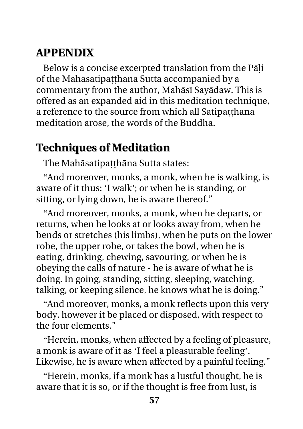## <span id="page-57-0"></span>**APPENDIX**

Below is a concise excerpted translation from the Pāļi of the Mahāsatipaṭṭhāna Sutta accompanied by a commentary from the author, Mahāsī Sayādaw. This is offered as an expanded aid in this meditation technique, a reference to the source from which all Satipațțhāna meditation arose, the words of the Buddha.

#### **Techniques of Meditation**

The Mahāsatipaṭṭhāna Sutta states:

"And moreover, monks, a monk, when he is walking, is aware of it thus: 'I walk'; or when he is standing, or sitting, or lying down, he is aware thereof."

"And moreover, monks, a monk, when he departs, or returns, when he looks at or looks away from, when he bends or stretches (his limbs), when he puts on the lower robe, the upper robe, or takes the bowl, when he is eating, drinking, chewing, savouring, or when he is obeying the calls of nature - he is aware of what he is doing. In going, standing, sitting, sleeping, watching, talking, or keeping silence, he knows what he is doing."

"And moreover, monks, a monk reflects upon this very body, however it be placed or disposed, with respect to the four elements."

"Herein, monks, when affected by a feeling of pleasure, a monk is aware of it as 'I feel a pleasurable feeling'. Likewise, he is aware when affected by a painful feeling."

"Herein, monks, if a monk has a lustful thought, he is aware that it is so, or if the thought is free from lust, is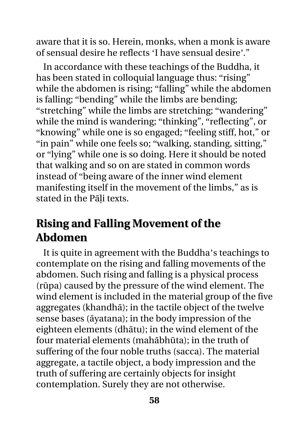<span id="page-58-0"></span>aware that it is so. Herein, monks, when a monk is aware of sensual desire he reflects 'I have sensual desire'."

In accordance with these teachings of the Buddha, it has been stated in colloquial language thus: "rising" while the abdomen is rising; "falling" while the abdomen is falling; "bending" while the limbs are bending; "stretching" while the limbs are stretching; "wandering" while the mind is wandering; "thinking", "reflecting", or "knowing" while one is so engaged; "feeling stiff, hot," or "in pain" while one feels so; "walking, standing, sitting," or "lying" while one is so doing. Here it should be noted that walking and so on are stated in common words instead of "being aware of the inner wind element manifesting itself in the movement of the limbs," as is stated in the Pāļi texts.

## **Rising and Falling Movement of the Abdomen**

It is quite in agreement with the Buddha's teachings to contemplate on the rising and falling movements of the abdomen. Such rising and falling is a physical process (rūpa) caused by the pressure of the wind element. The wind element is included in the material group of the five aggregates (khandhā); in the tactile object of the twelve sense bases (āyatana); in the body impression of the eighteen elements (dhātu); in the wind element of the four material elements (mahābhūta); in the truth of suffering of the four noble truths (sacca). The material aggregate, a tactile object, a body impression and the truth of suffering are certainly objects for insight contemplation. Surely they are not otherwise.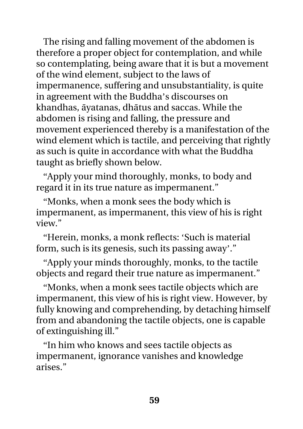The rising and falling movement of the abdomen is therefore a proper object for contemplation, and while so contemplating, being aware that it is but a movement of the wind element, subject to the laws of impermanence, suffering and unsubstantiality, is quite in agreement with the Buddha's discourses on khandhas, āyatanas, dhātus and saccas. While the abdomen is rising and falling, the pressure and movement experienced thereby is a manifestation of the wind element which is tactile, and perceiving that rightly as such is quite in accordance with what the Buddha taught as briefly shown below.

"Apply your mind thoroughly, monks, to body and regard it in its true nature as impermanent."

"Monks, when a monk sees the body which is impermanent, as impermanent, this view of his is right view."

"Herein, monks, a monk reflects: 'Such is material form, such is its genesis, such its passing away'."

"Apply your minds thoroughly, monks, to the tactile objects and regard their true nature as impermanent."

"Monks, when a monk sees tactile objects which are impermanent, this view of his is right view. However, by fully knowing and comprehending, by detaching himself from and abandoning the tactile objects, one is capable of extinguishing ill."

"In him who knows and sees tactile objects as impermanent, ignorance vanishes and knowledge arises."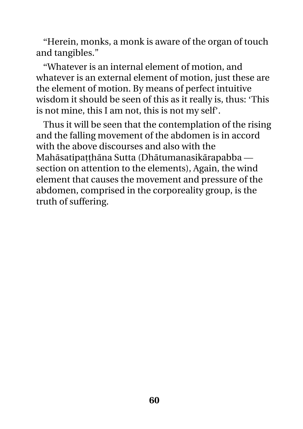"Herein, monks, a monk is aware of the organ of touch and tangibles."

"Whatever is an internal element of motion, and whatever is an external element of motion, just these are the element of motion. By means of perfect intuitive wisdom it should be seen of this as it really is, thus: 'This is not mine, this I am not, this is not my self'.

Thus it will be seen that the contemplation of the rising and the falling movement of the abdomen is in accord with the above discourses and also with the Mahāsatipaṭṭhāna Sutta (Dhātumanasikārapabba section on attention to the elements), Again, the wind element that causes the movement and pressure of the abdomen, comprised in the corporeality group, is the truth of suffering.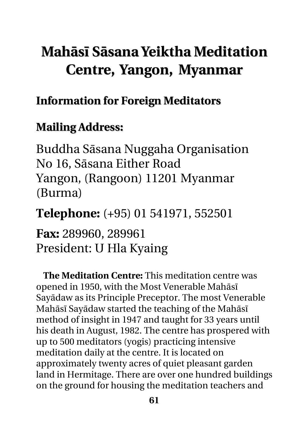# <span id="page-61-0"></span>**Mahāsī SāsanaYeiktha Meditation Centre, Yangon, Myanmar**

# **Information for Foreign Meditators**

### **Mailing Address:**

Buddha Sāsana Nuggaha Organisation No 16, Sāsana Either Road Yangon, (Rangoon) 11201 Myanmar (Burma)

### **Telephone:** (+95) 01 541971, 552501

**Fax:** 289960, 289961 President: U Hla Kyaing

**The Meditation Centre:** This meditation centre was opened in 1950, with the Most Venerable Mahāsī Sayādaw as its Principle Preceptor. The most Venerable Mahāsī Sayādaw started the teaching of the Mahāsī method of insight in 1947 and taught for 33 years until his death in August, 1982. The centre has prospered with up to 500 meditators (yogis) practicing intensive meditation daily at the centre. It is located on approximately twenty acres of quiet pleasant garden land in Hermitage. There are over one hundred buildings on the ground for housing the meditation teachers and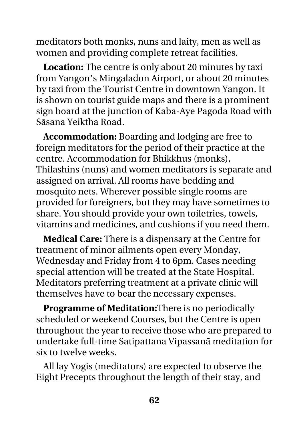meditators both monks, nuns and laity, men as well as women and providing complete retreat facilities.

**Location:** The centre is only about 20 minutes by taxi from Yangon's Mingaladon Airport, or about 20 minutes by taxi from the Tourist Centre in downtown Yangon. It is shown on tourist guide maps and there is a prominent sign board at the junction of Kaba-Aye Pagoda Road with Sāsana Yeiktha Road.

**Accommodation:** Boarding and lodging are free to foreign meditators for the period of their practice at the centre. Accommodation for Bhikkhus (monks), Thilashins (nuns) and women meditators is separate and assigned on arrival. All rooms have bedding and mosquito nets. Wherever possible single rooms are provided for foreigners, but they may have sometimes to share. You should provide your own toiletries, towels, vitamins and medicines, and cushions if you need them.

**Medical Care:** There is a dispensary at the Centre for treatment of minor ailments open every Monday, Wednesday and Friday from 4 to 6pm. Cases needing special attention will be treated at the State Hospital. Meditators preferring treatment at a private clinic will themselves have to bear the necessary expenses.

**Programme of Meditation:**There is no periodically scheduled or weekend Courses, but the Centre is open throughout the year to receive those who are prepared to undertake full-time Satipattana Vipassanā meditation for six to twelve weeks.

All lay Yogis (meditators) are expected to observe the Eight Precepts throughout the length of their stay, and